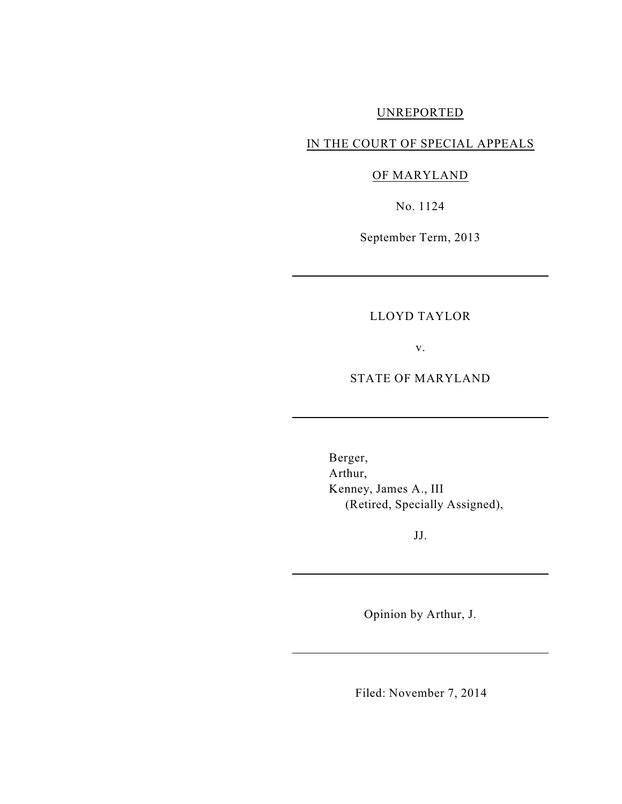### UNREPORTED

## IN THE COURT OF SPECIAL APPEALS

# OF MARYLAND

No. 1124

September Term, 2013

### LLOYD TAYLOR

v.

### STATE OF MARYLAND

Berger, Arthur, Kenney, James A., III (Retired, Specially Assigned),

JJ.

Opinion by Arthur, J.

Filed: November 7, 2014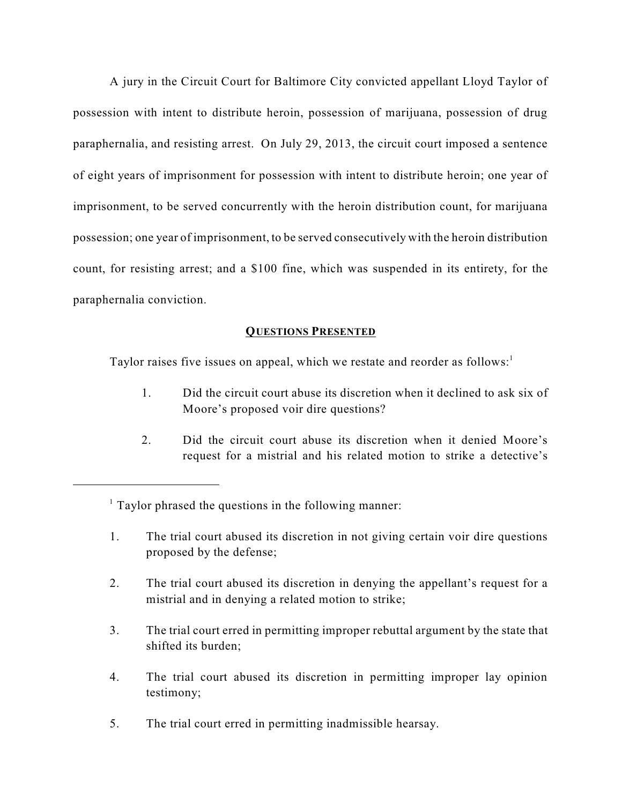A jury in the Circuit Court for Baltimore City convicted appellant Lloyd Taylor of possession with intent to distribute heroin, possession of marijuana, possession of drug paraphernalia, and resisting arrest. On July 29, 2013, the circuit court imposed a sentence of eight years of imprisonment for possession with intent to distribute heroin; one year of imprisonment, to be served concurrently with the heroin distribution count, for marijuana possession; one year of imprisonment, to be served consecutively with the heroin distribution count, for resisting arrest; and a \$100 fine, which was suspended in its entirety, for the paraphernalia conviction.

### **QUESTIONS PRESENTED**

Taylor raises five issues on appeal, which we restate and reorder as follows:<sup>1</sup>

- 1. Did the circuit court abuse its discretion when it declined to ask six of Moore's proposed voir dire questions?
- 2. Did the circuit court abuse its discretion when it denied Moore's request for a mistrial and his related motion to strike a detective's

- 1. The trial court abused its discretion in not giving certain voir dire questions proposed by the defense;
- 2. The trial court abused its discretion in denying the appellant's request for a mistrial and in denying a related motion to strike;
- 3. The trial court erred in permitting improper rebuttal argument by the state that shifted its burden;
- 4. The trial court abused its discretion in permitting improper lay opinion testimony;
- 5. The trial court erred in permitting inadmissible hearsay.

 $1$  Taylor phrased the questions in the following manner: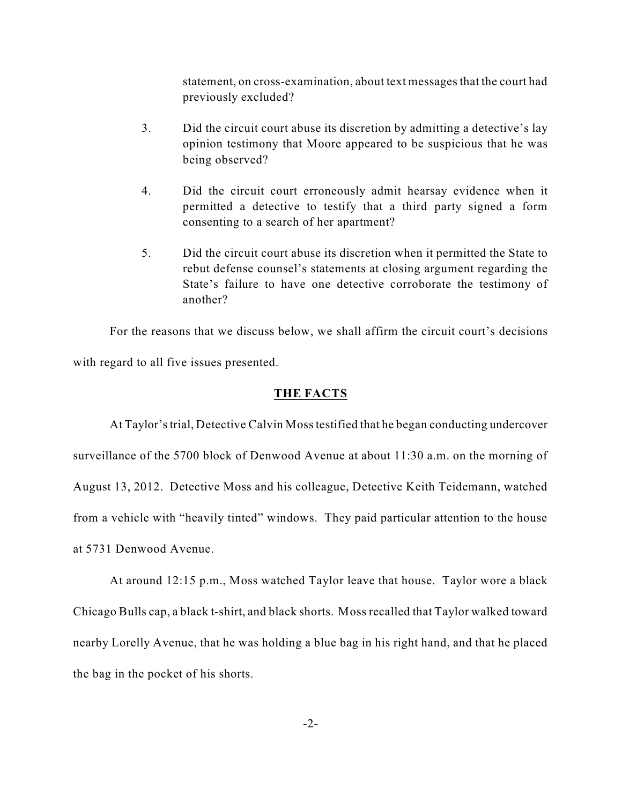statement, on cross-examination, about text messages that the court had previously excluded?

- 3. Did the circuit court abuse its discretion by admitting a detective's lay opinion testimony that Moore appeared to be suspicious that he was being observed?
- 4. Did the circuit court erroneously admit hearsay evidence when it permitted a detective to testify that a third party signed a form consenting to a search of her apartment?
- 5. Did the circuit court abuse its discretion when it permitted the State to rebut defense counsel's statements at closing argument regarding the State's failure to have one detective corroborate the testimony of another?

For the reasons that we discuss below, we shall affirm the circuit court's decisions with regard to all five issues presented.

#### **THE FACTS**

At Taylor'strial, Detective Calvin Mosstestified that he began conducting undercover surveillance of the 5700 block of Denwood Avenue at about 11:30 a.m. on the morning of August 13, 2012. Detective Moss and his colleague, Detective Keith Teidemann, watched from a vehicle with "heavily tinted" windows. They paid particular attention to the house at 5731 Denwood Avenue.

At around 12:15 p.m., Moss watched Taylor leave that house. Taylor wore a black Chicago Bulls cap, a black t-shirt, and black shorts. Moss recalled that Taylor walked toward nearby Lorelly Avenue, that he was holding a blue bag in his right hand, and that he placed the bag in the pocket of his shorts.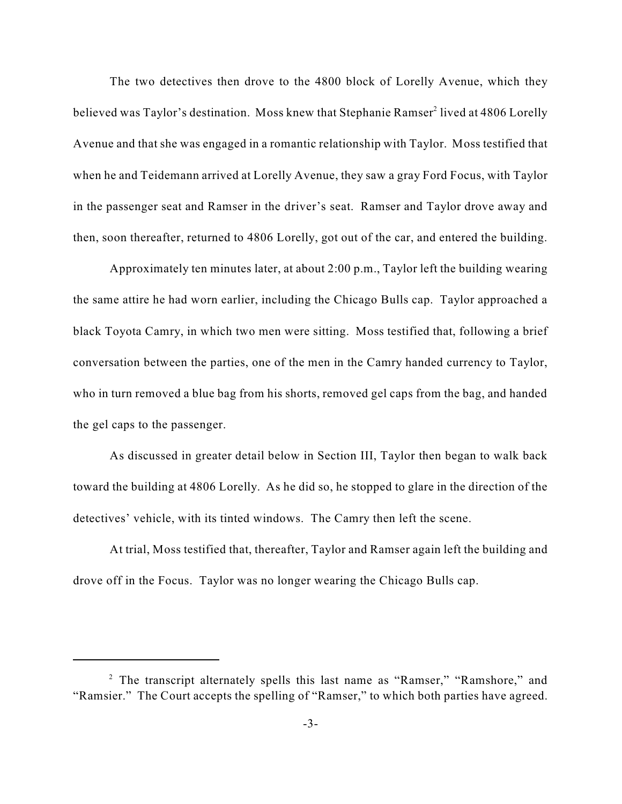The two detectives then drove to the 4800 block of Lorelly Avenue, which they believed was Taylor's destination. Moss knew that Stephanie Ramser<sup>2</sup> lived at 4806 Lorelly Avenue and that she was engaged in a romantic relationship with Taylor. Moss testified that when he and Teidemann arrived at Lorelly Avenue, they saw a gray Ford Focus, with Taylor in the passenger seat and Ramser in the driver's seat. Ramser and Taylor drove away and then, soon thereafter, returned to 4806 Lorelly, got out of the car, and entered the building.

Approximately ten minutes later, at about 2:00 p.m., Taylor left the building wearing the same attire he had worn earlier, including the Chicago Bulls cap. Taylor approached a black Toyota Camry, in which two men were sitting. Moss testified that, following a brief conversation between the parties, one of the men in the Camry handed currency to Taylor, who in turn removed a blue bag from his shorts, removed gel caps from the bag, and handed the gel caps to the passenger.

As discussed in greater detail below in Section III, Taylor then began to walk back toward the building at 4806 Lorelly. As he did so, he stopped to glare in the direction of the detectives' vehicle, with its tinted windows. The Camry then left the scene.

At trial, Moss testified that, thereafter, Taylor and Ramser again left the building and drove off in the Focus. Taylor was no longer wearing the Chicago Bulls cap.

<sup>&</sup>lt;sup>2</sup> The transcript alternately spells this last name as "Ramser," "Ramshore," and "Ramsier." The Court accepts the spelling of "Ramser," to which both parties have agreed.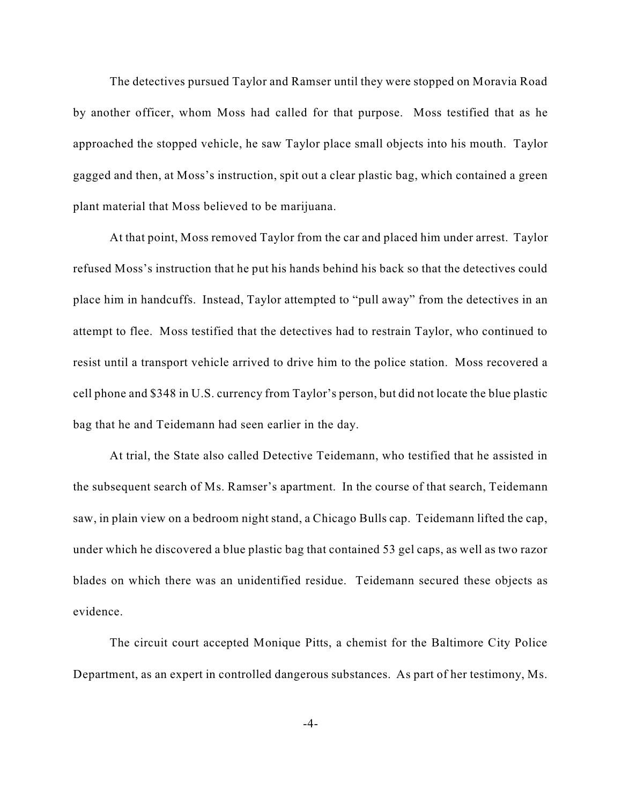The detectives pursued Taylor and Ramser until they were stopped on Moravia Road by another officer, whom Moss had called for that purpose. Moss testified that as he approached the stopped vehicle, he saw Taylor place small objects into his mouth. Taylor gagged and then, at Moss's instruction, spit out a clear plastic bag, which contained a green plant material that Moss believed to be marijuana.

At that point, Moss removed Taylor from the car and placed him under arrest. Taylor refused Moss's instruction that he put his hands behind his back so that the detectives could place him in handcuffs. Instead, Taylor attempted to "pull away" from the detectives in an attempt to flee. Moss testified that the detectives had to restrain Taylor, who continued to resist until a transport vehicle arrived to drive him to the police station. Moss recovered a cell phone and \$348 in U.S. currency from Taylor's person, but did not locate the blue plastic bag that he and Teidemann had seen earlier in the day.

At trial, the State also called Detective Teidemann, who testified that he assisted in the subsequent search of Ms. Ramser's apartment. In the course of that search, Teidemann saw, in plain view on a bedroom night stand, a Chicago Bulls cap. Teidemann lifted the cap, under which he discovered a blue plastic bag that contained 53 gel caps, as well as two razor blades on which there was an unidentified residue. Teidemann secured these objects as evidence.

The circuit court accepted Monique Pitts, a chemist for the Baltimore City Police Department, as an expert in controlled dangerous substances. As part of her testimony, Ms.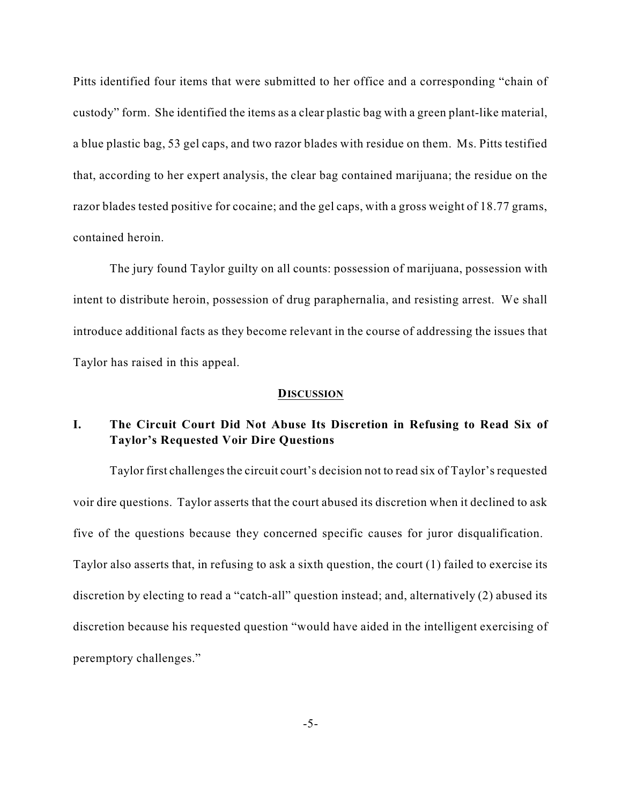Pitts identified four items that were submitted to her office and a corresponding "chain of custody" form. She identified the items as a clear plastic bag with a green plant-like material, a blue plastic bag, 53 gel caps, and two razor blades with residue on them. Ms. Pitts testified that, according to her expert analysis, the clear bag contained marijuana; the residue on the razor blades tested positive for cocaine; and the gel caps, with a gross weight of 18.77 grams, contained heroin.

The jury found Taylor guilty on all counts: possession of marijuana, possession with intent to distribute heroin, possession of drug paraphernalia, and resisting arrest. We shall introduce additional facts as they become relevant in the course of addressing the issues that Taylor has raised in this appeal.

#### **DISCUSSION**

## **I. The Circuit Court Did Not Abuse Its Discretion in Refusing to Read Six of Taylor's Requested Voir Dire Questions**

Taylor first challenges the circuit court's decision not to read six of Taylor's requested voir dire questions. Taylor asserts that the court abused its discretion when it declined to ask five of the questions because they concerned specific causes for juror disqualification. Taylor also asserts that, in refusing to ask a sixth question, the court (1) failed to exercise its discretion by electing to read a "catch-all" question instead; and, alternatively (2) abused its discretion because his requested question "would have aided in the intelligent exercising of peremptory challenges."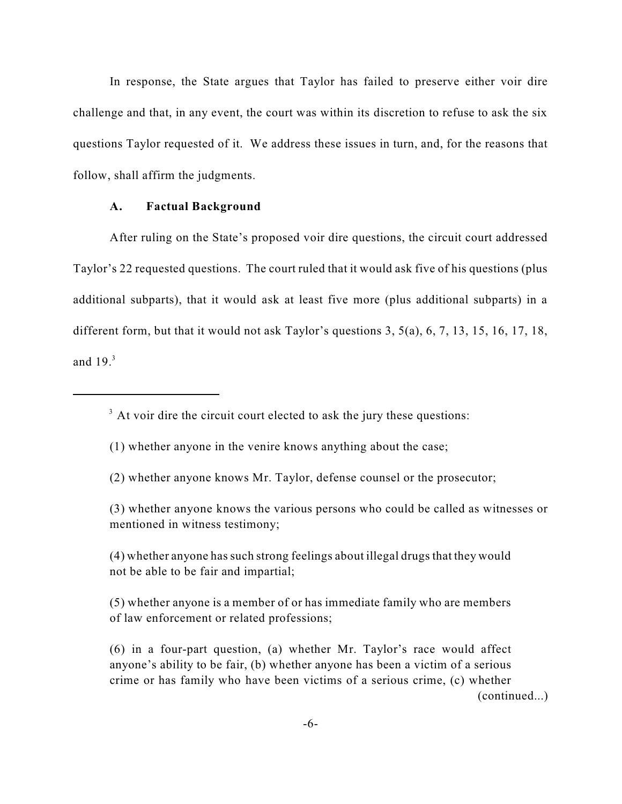In response, the State argues that Taylor has failed to preserve either voir dire challenge and that, in any event, the court was within its discretion to refuse to ask the six questions Taylor requested of it. We address these issues in turn, and, for the reasons that follow, shall affirm the judgments.

### **A. Factual Background**

After ruling on the State's proposed voir dire questions, the circuit court addressed Taylor's 22 requested questions. The court ruled that it would ask five of his questions (plus additional subparts), that it would ask at least five more (plus additional subparts) in a different form, but that it would not ask Taylor's questions 3, 5(a), 6, 7, 13, 15, 16, 17, 18, and 19. 3

 $3$  At voir dire the circuit court elected to ask the jury these questions:

(1) whether anyone in the venire knows anything about the case;

- (2) whether anyone knows Mr. Taylor, defense counsel or the prosecutor;
- (3) whether anyone knows the various persons who could be called as witnesses or mentioned in witness testimony;

(4) whether anyone hassuch strong feelings about illegal drugs that they would not be able to be fair and impartial;

(5) whether anyone is a member of or has immediate family who are members of law enforcement or related professions;

(6) in a four-part question, (a) whether Mr. Taylor's race would affect anyone's ability to be fair, (b) whether anyone has been a victim of a serious crime or has family who have been victims of a serious crime, (c) whether (continued...)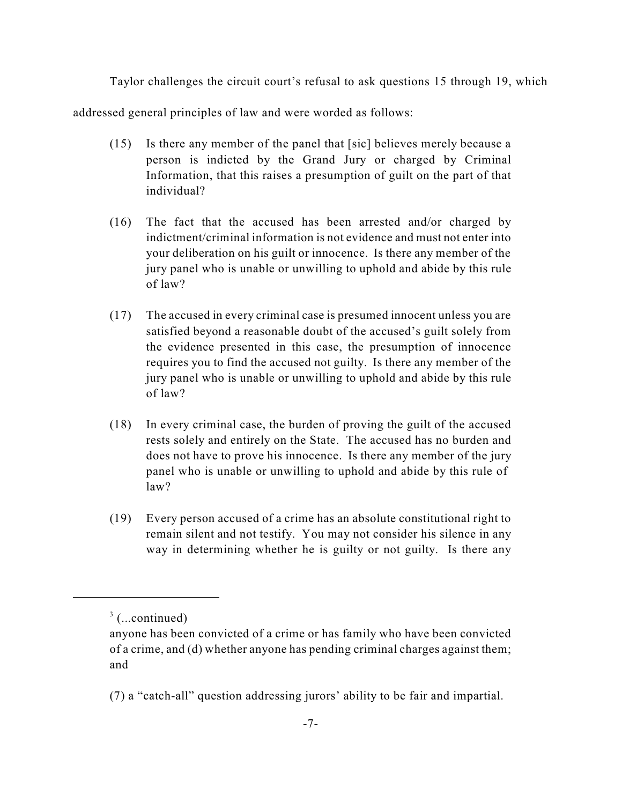Taylor challenges the circuit court's refusal to ask questions 15 through 19, which

addressed general principles of law and were worded as follows:

- (15) Is there any member of the panel that [sic] believes merely because a person is indicted by the Grand Jury or charged by Criminal Information, that this raises a presumption of guilt on the part of that individual?
- (16) The fact that the accused has been arrested and/or charged by indictment/criminal information is not evidence and must not enter into your deliberation on his guilt or innocence. Is there any member of the jury panel who is unable or unwilling to uphold and abide by this rule of law?
- (17) The accused in every criminal case is presumed innocent unless you are satisfied beyond a reasonable doubt of the accused's guilt solely from the evidence presented in this case, the presumption of innocence requires you to find the accused not guilty. Is there any member of the jury panel who is unable or unwilling to uphold and abide by this rule of law?
- (18) In every criminal case, the burden of proving the guilt of the accused rests solely and entirely on the State. The accused has no burden and does not have to prove his innocence. Is there any member of the jury panel who is unable or unwilling to uphold and abide by this rule of law?
- (19) Every person accused of a crime has an absolute constitutional right to remain silent and not testify. You may not consider his silence in any way in determining whether he is guilty or not guilty. Is there any

 $3$  (...continued)

anyone has been convicted of a crime or has family who have been convicted of a crime, and (d) whether anyone has pending criminal charges against them; and

<sup>(7)</sup> a "catch-all" question addressing jurors' ability to be fair and impartial.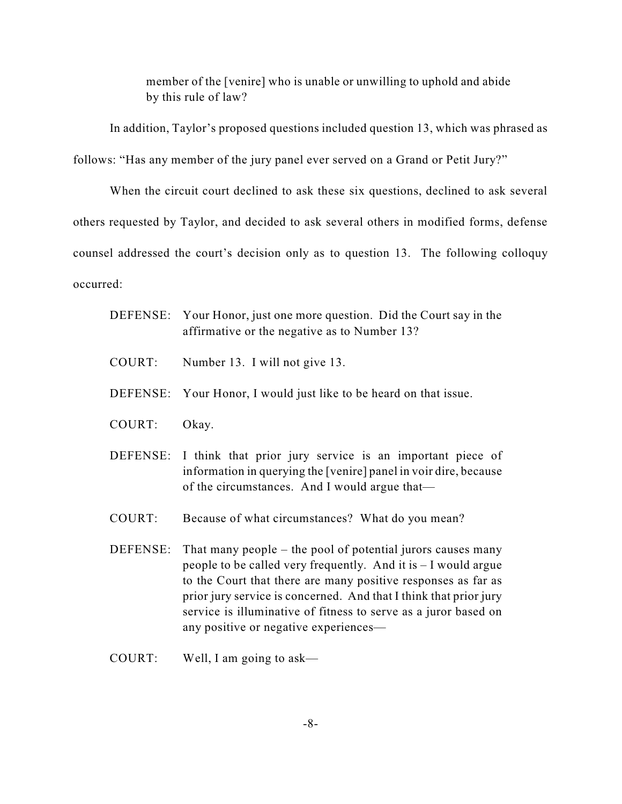member of the [venire] who is unable or unwilling to uphold and abide by this rule of law?

In addition, Taylor's proposed questions included question 13, which was phrased as follows: "Has any member of the jury panel ever served on a Grand or Petit Jury?"

When the circuit court declined to ask these six questions, declined to ask several others requested by Taylor, and decided to ask several others in modified forms, defense counsel addressed the court's decision only as to question 13. The following colloquy occurred:

- DEFENSE: Your Honor, just one more question. Did the Court say in the affirmative or the negative as to Number 13?
- COURT: Number 13. I will not give 13.
- DEFENSE: Your Honor, I would just like to be heard on that issue.
- COURT: Okay.
- DEFENSE: I think that prior jury service is an important piece of information in querying the [venire] panel in voir dire, because of the circumstances. And I would argue that—
- COURT: Because of what circumstances? What do you mean?
- DEFENSE: That many people the pool of potential jurors causes many people to be called very frequently. And it is – I would argue to the Court that there are many positive responses as far as prior jury service is concerned. And that I think that prior jury service is illuminative of fitness to serve as a juror based on any positive or negative experiences—
- COURT: Well, I am going to ask—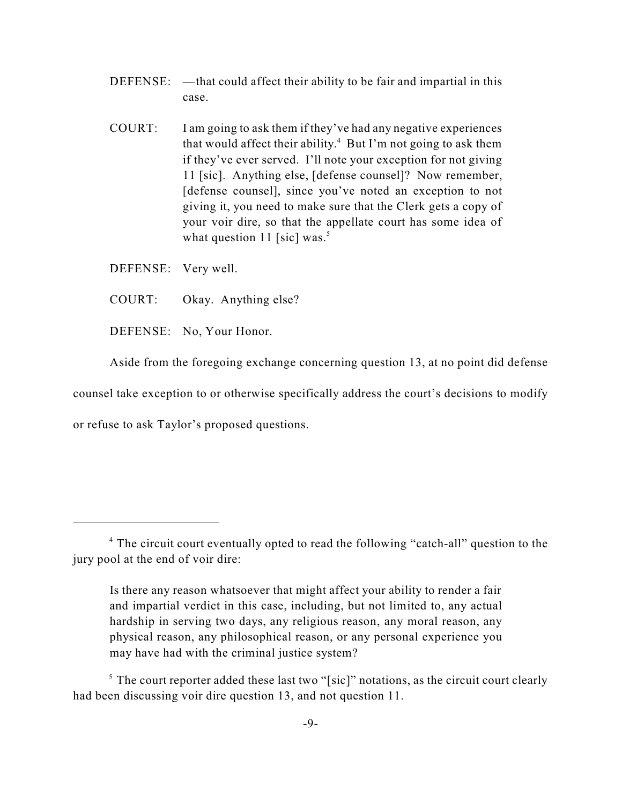- DEFENSE: —that could affect their ability to be fair and impartial in this case.
- COURT: I am going to ask them if they've had any negative experiences that would affect their ability. $4$  But I'm not going to ask them if they've ever served. I'll note your exception for not giving 11 [sic]. Anything else, [defense counsel]? Now remember, [defense counsel], since you've noted an exception to not giving it, you need to make sure that the Clerk gets a copy of your voir dire, so that the appellate court has some idea of what question 11 [sic] was.<sup>5</sup>
- DEFENSE: Very well.
- COURT: Okay. Anything else?
- DEFENSE: No, Your Honor.

Aside from the foregoing exchange concerning question 13, at no point did defense counsel take exception to or otherwise specifically address the court's decisions to modify or refuse to ask Taylor's proposed questions.

<sup>&</sup>lt;sup>4</sup> The circuit court eventually opted to read the following "catch-all" question to the jury pool at the end of voir dire:

Is there any reason whatsoever that might affect your ability to render a fair and impartial verdict in this case, including, but not limited to, any actual hardship in serving two days, any religious reason, any moral reason, any physical reason, any philosophical reason, or any personal experience you may have had with the criminal justice system?

 $5$  The court reporter added these last two "[sic]" notations, as the circuit court clearly had been discussing voir dire question 13, and not question 11.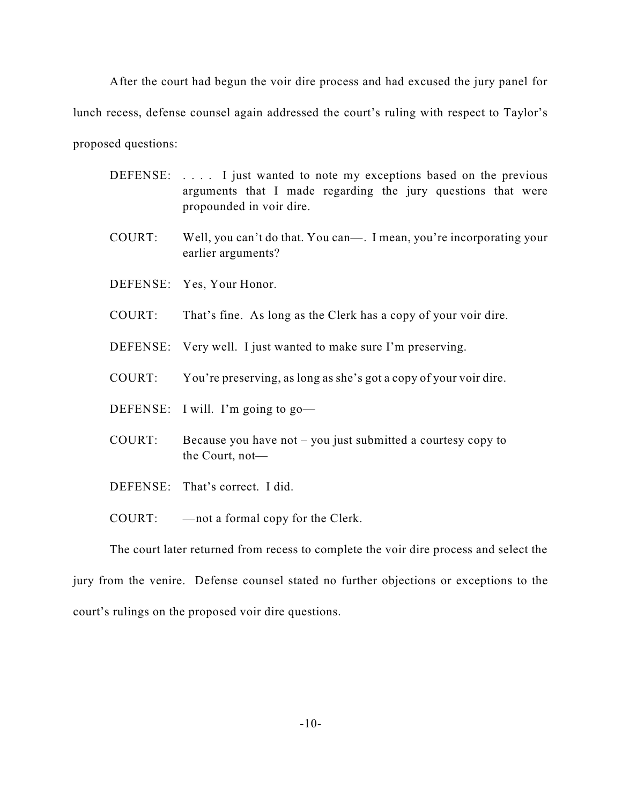After the court had begun the voir dire process and had excused the jury panel for lunch recess, defense counsel again addressed the court's ruling with respect to Taylor's proposed questions:

- DEFENSE: .... I just wanted to note my exceptions based on the previous arguments that I made regarding the jury questions that were propounded in voir dire.
- COURT: Well, you can't do that. You can—. I mean, you're incorporating your earlier arguments?
- DEFENSE: Yes, Your Honor.
- COURT: That's fine. As long as the Clerk has a copy of your voir dire.
- DEFENSE: Very well. I just wanted to make sure I'm preserving.
- COURT: You're preserving, as long as she's got a copy of your voir dire.
- DEFENSE: I will. I'm going to go—
- COURT: Because you have not you just submitted a courtesy copy to the Court, not—
- DEFENSE: That's correct. I did.

COURT: —not a formal copy for the Clerk.

The court later returned from recess to complete the voir dire process and select the jury from the venire. Defense counsel stated no further objections or exceptions to the court's rulings on the proposed voir dire questions.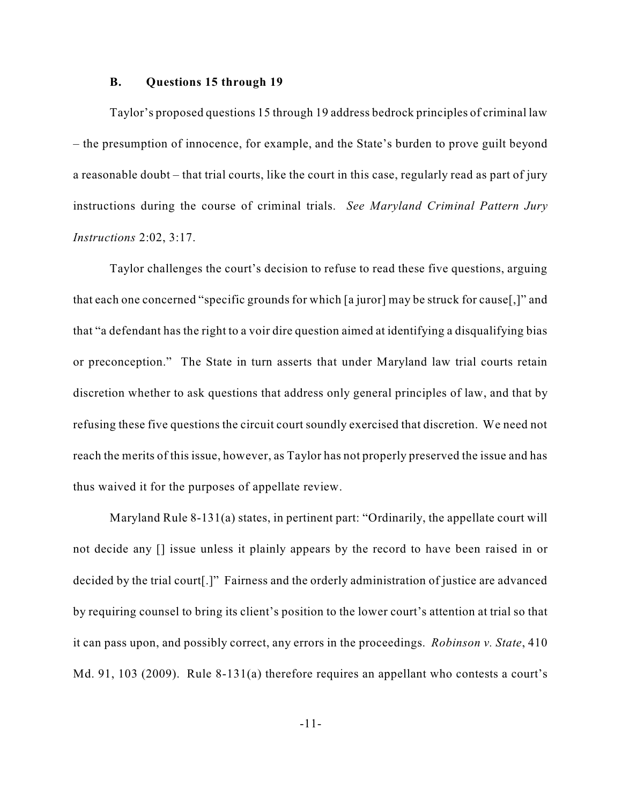#### **B. Questions 15 through 19**

Taylor's proposed questions 15 through 19 address bedrock principles of criminal law – the presumption of innocence, for example, and the State's burden to prove guilt beyond a reasonable doubt – that trial courts, like the court in this case, regularly read as part of jury instructions during the course of criminal trials. *See Maryland Criminal Pattern Jury Instructions* 2:02, 3:17.

Taylor challenges the court's decision to refuse to read these five questions, arguing that each one concerned "specific grounds for which [a juror] may be struck for cause[,]" and that "a defendant has the right to a voir dire question aimed at identifying a disqualifying bias or preconception." The State in turn asserts that under Maryland law trial courts retain discretion whether to ask questions that address only general principles of law, and that by refusing these five questions the circuit court soundly exercised that discretion. We need not reach the merits of this issue, however, as Taylor has not properly preserved the issue and has thus waived it for the purposes of appellate review.

Maryland Rule 8-131(a) states, in pertinent part: "Ordinarily, the appellate court will not decide any [] issue unless it plainly appears by the record to have been raised in or decided by the trial court[.]" Fairness and the orderly administration of justice are advanced by requiring counsel to bring its client's position to the lower court's attention at trial so that it can pass upon, and possibly correct, any errors in the proceedings. *Robinson v. State*, 410 Md. 91, 103 (2009). Rule 8-131(a) therefore requires an appellant who contests a court's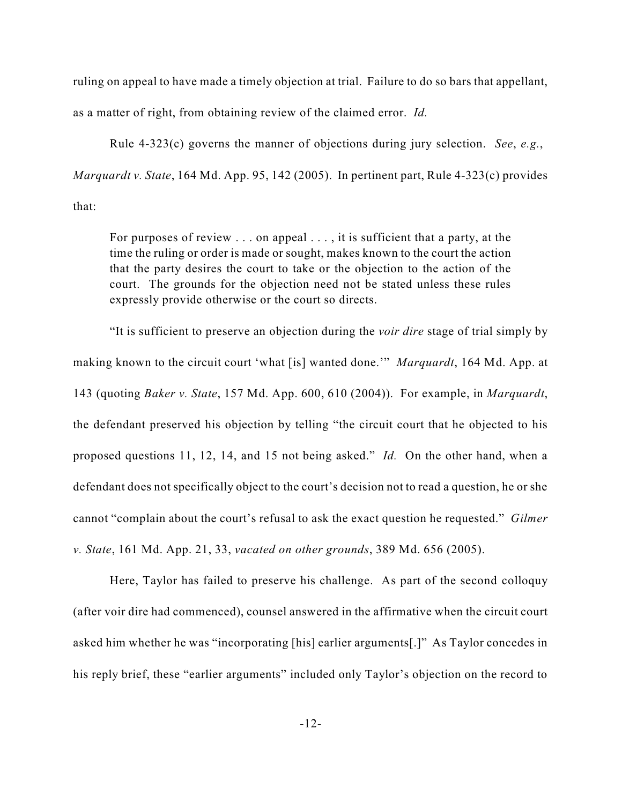ruling on appeal to have made a timely objection at trial. Failure to do so bars that appellant, as a matter of right, from obtaining review of the claimed error. *Id.*

Rule 4-323(c) governs the manner of objections during jury selection. *See*, *e.g.*, *Marquardt v. State*, 164 Md. App. 95, 142 (2005). In pertinent part, Rule 4-323(c) provides that:

For purposes of review . . . on appeal . . . , it is sufficient that a party, at the time the ruling or order is made or sought, makes known to the court the action that the party desires the court to take or the objection to the action of the court. The grounds for the objection need not be stated unless these rules expressly provide otherwise or the court so directs.

"It is sufficient to preserve an objection during the *voir dire* stage of trial simply by making known to the circuit court 'what [is] wanted done.'" *Marquardt*, 164 Md. App. at 143 (quoting *Baker v. State*, 157 Md. App. 600, 610 (2004)). For example, in *Marquardt*, the defendant preserved his objection by telling "the circuit court that he objected to his proposed questions 11, 12, 14, and 15 not being asked." *Id.* On the other hand, when a defendant does not specifically object to the court's decision not to read a question, he or she cannot "complain about the court's refusal to ask the exact question he requested." *Gilmer v. State*, 161 Md. App. 21, 33, *vacated on other grounds*, 389 Md. 656 (2005).

Here, Taylor has failed to preserve his challenge. As part of the second colloquy (after voir dire had commenced), counsel answered in the affirmative when the circuit court asked him whether he was "incorporating [his] earlier arguments[.]" As Taylor concedes in his reply brief, these "earlier arguments" included only Taylor's objection on the record to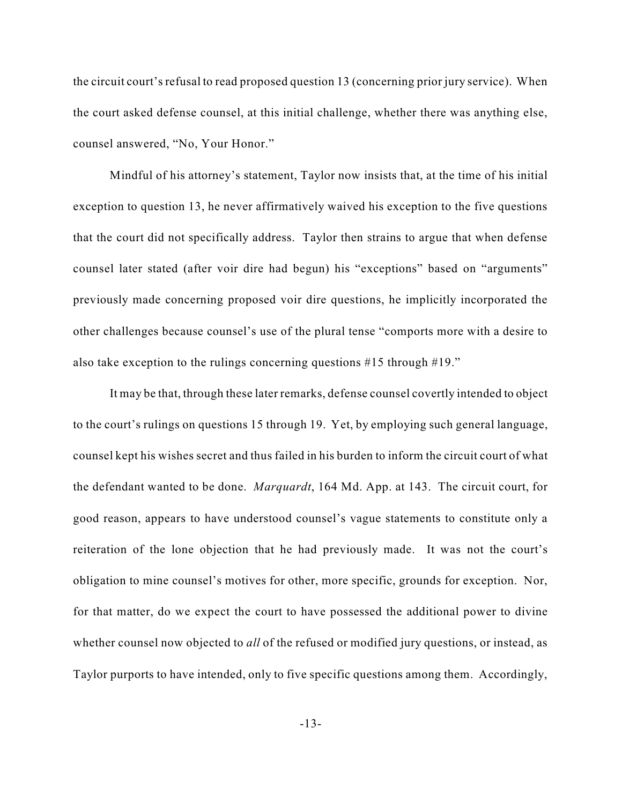the circuit court's refusal to read proposed question 13 (concerning prior jury service). When the court asked defense counsel, at this initial challenge, whether there was anything else, counsel answered, "No, Your Honor."

Mindful of his attorney's statement, Taylor now insists that, at the time of his initial exception to question 13, he never affirmatively waived his exception to the five questions that the court did not specifically address. Taylor then strains to argue that when defense counsel later stated (after voir dire had begun) his "exceptions" based on "arguments" previously made concerning proposed voir dire questions, he implicitly incorporated the other challenges because counsel's use of the plural tense "comports more with a desire to also take exception to the rulings concerning questions #15 through #19."

It may be that, through these later remarks, defense counsel covertly intended to object to the court's rulings on questions 15 through 19. Yet, by employing such general language, counsel kept his wishes secret and thus failed in his burden to inform the circuit court of what the defendant wanted to be done. *Marquardt*, 164 Md. App. at 143. The circuit court, for good reason, appears to have understood counsel's vague statements to constitute only a reiteration of the lone objection that he had previously made. It was not the court's obligation to mine counsel's motives for other, more specific, grounds for exception. Nor, for that matter, do we expect the court to have possessed the additional power to divine whether counsel now objected to *all* of the refused or modified jury questions, or instead, as Taylor purports to have intended, only to five specific questions among them. Accordingly,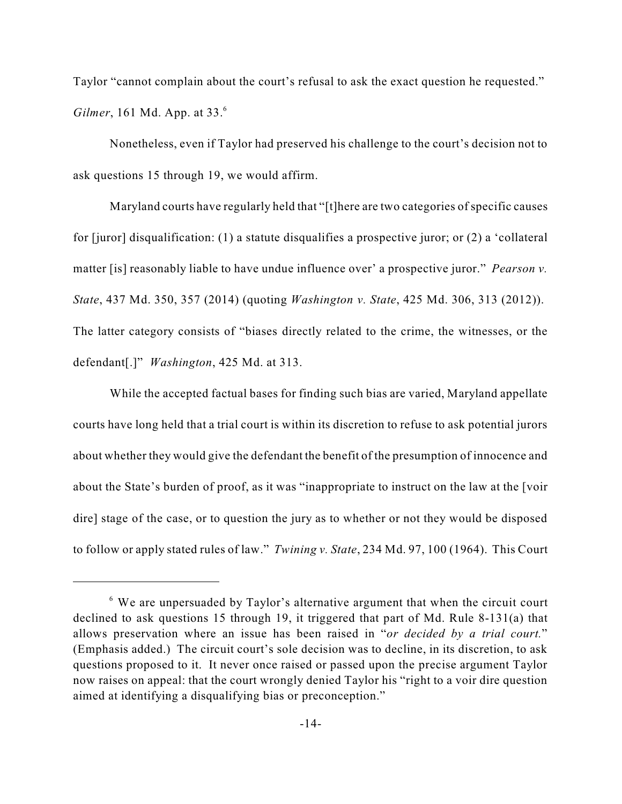Taylor "cannot complain about the court's refusal to ask the exact question he requested." *Gilmer*, 161 Md. App. at 33. 6

Nonetheless, even if Taylor had preserved his challenge to the court's decision not to ask questions 15 through 19, we would affirm.

Maryland courts have regularly held that "[t]here are two categories of specific causes for [juror] disqualification: (1) a statute disqualifies a prospective juror; or (2) a 'collateral matter [is] reasonably liable to have undue influence over' a prospective juror." *Pearson v. State*, 437 Md. 350, 357 (2014) (quoting *Washington v. State*, 425 Md. 306, 313 (2012)). The latter category consists of "biases directly related to the crime, the witnesses, or the defendant[.]" *Washington*, 425 Md. at 313.

While the accepted factual bases for finding such bias are varied, Maryland appellate courts have long held that a trial court is within its discretion to refuse to ask potential jurors about whether they would give the defendant the benefit of the presumption of innocence and about the State's burden of proof, as it was "inappropriate to instruct on the law at the [voir dire] stage of the case, or to question the jury as to whether or not they would be disposed to follow or apply stated rules of law." *Twining v. State*, 234 Md. 97, 100 (1964). This Court

 $6$  We are unpersuaded by Taylor's alternative argument that when the circuit court declined to ask questions 15 through 19, it triggered that part of Md. Rule 8-131(a) that allows preservation where an issue has been raised in "*or decided by a trial court.*" (Emphasis added.) The circuit court's sole decision was to decline, in its discretion, to ask questions proposed to it. It never once raised or passed upon the precise argument Taylor now raises on appeal: that the court wrongly denied Taylor his "right to a voir dire question aimed at identifying a disqualifying bias or preconception."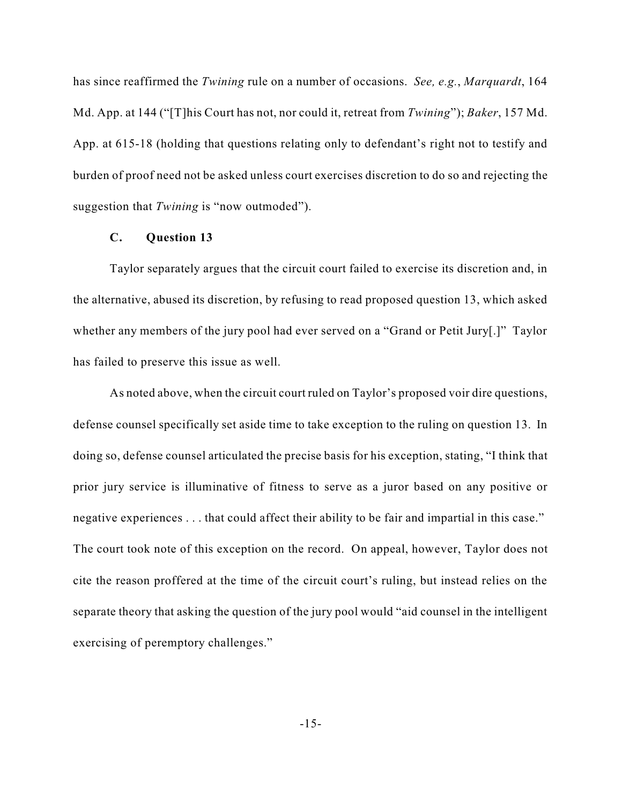has since reaffirmed the *Twining* rule on a number of occasions. *See, e.g.*, *Marquardt*, 164 Md. App. at 144 ("[T]his Court has not, nor could it, retreat from *Twining*"); *Baker*, 157 Md. App. at 615-18 (holding that questions relating only to defendant's right not to testify and burden of proof need not be asked unless court exercises discretion to do so and rejecting the suggestion that *Twining* is "now outmoded").

#### **C. Question 13**

Taylor separately argues that the circuit court failed to exercise its discretion and, in the alternative, abused its discretion, by refusing to read proposed question 13, which asked whether any members of the jury pool had ever served on a "Grand or Petit Jury[.]" Taylor has failed to preserve this issue as well.

As noted above, when the circuit court ruled on Taylor's proposed voir dire questions, defense counsel specifically set aside time to take exception to the ruling on question 13. In doing so, defense counsel articulated the precise basis for his exception, stating, "I think that prior jury service is illuminative of fitness to serve as a juror based on any positive or negative experiences . . . that could affect their ability to be fair and impartial in this case." The court took note of this exception on the record. On appeal, however, Taylor does not cite the reason proffered at the time of the circuit court's ruling, but instead relies on the separate theory that asking the question of the jury pool would "aid counsel in the intelligent exercising of peremptory challenges."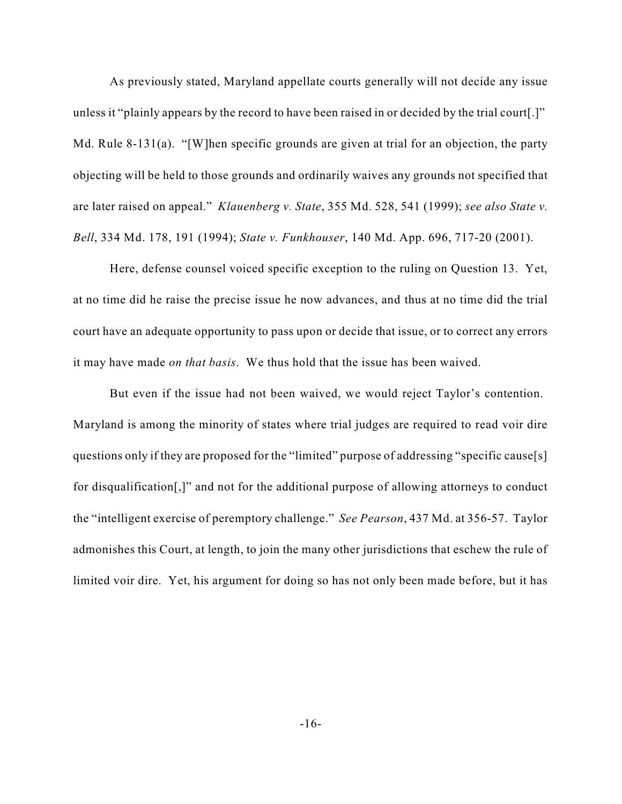As previously stated, Maryland appellate courts generally will not decide any issue unless it "plainly appears by the record to have been raised in or decided by the trial court[.]" Md. Rule 8-131(a). "[W]hen specific grounds are given at trial for an objection, the party objecting will be held to those grounds and ordinarily waives any grounds not specified that are later raised on appeal." *Klauenberg v. State*, 355 Md. 528, 541 (1999); *see also State v. Bell*, 334 Md. 178, 191 (1994); *State v. Funkhouser*, 140 Md. App. 696, 717-20 (2001).

Here, defense counsel voiced specific exception to the ruling on Question 13. Yet, at no time did he raise the precise issue he now advances, and thus at no time did the trial court have an adequate opportunity to pass upon or decide that issue, or to correct any errors it may have made *on that basis*. We thus hold that the issue has been waived.

But even if the issue had not been waived, we would reject Taylor's contention. Maryland is among the minority of states where trial judges are required to read voir dire questions only if they are proposed for the "limited" purpose of addressing "specific cause[s] for disqualification[,]" and not for the additional purpose of allowing attorneys to conduct the "intelligent exercise of peremptory challenge." *See Pearson*, 437 Md. at 356-57. Taylor admonishes this Court, at length, to join the many other jurisdictions that eschew the rule of limited voir dire. Yet, his argument for doing so has not only been made before, but it has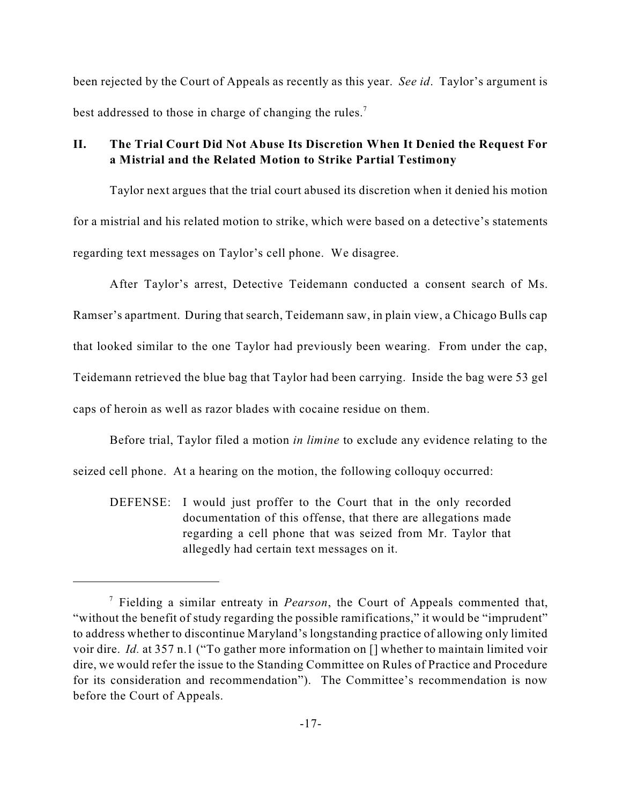been rejected by the Court of Appeals as recently as this year. *See id*. Taylor's argument is best addressed to those in charge of changing the rules.<sup>7</sup>

## **II. The Trial Court Did Not Abuse Its Discretion When It Denied the Request For a Mistrial and the Related Motion to Strike Partial Testimony**

Taylor next argues that the trial court abused its discretion when it denied his motion for a mistrial and his related motion to strike, which were based on a detective's statements regarding text messages on Taylor's cell phone. We disagree.

After Taylor's arrest, Detective Teidemann conducted a consent search of Ms. Ramser's apartment. During that search, Teidemann saw, in plain view, a Chicago Bulls cap that looked similar to the one Taylor had previously been wearing. From under the cap, Teidemann retrieved the blue bag that Taylor had been carrying. Inside the bag were 53 gel caps of heroin as well as razor blades with cocaine residue on them.

Before trial, Taylor filed a motion *in limine* to exclude any evidence relating to the

seized cell phone. At a hearing on the motion, the following colloquy occurred:

DEFENSE: I would just proffer to the Court that in the only recorded documentation of this offense, that there are allegations made regarding a cell phone that was seized from Mr. Taylor that allegedly had certain text messages on it.

<sup>&</sup>lt;sup>7</sup> Fielding a similar entreaty in *Pearson*, the Court of Appeals commented that, "without the benefit of study regarding the possible ramifications," it would be "imprudent" to address whether to discontinue Maryland's longstanding practice of allowing only limited voir dire. *Id.* at 357 n.1 ("To gather more information on [] whether to maintain limited voir dire, we would refer the issue to the Standing Committee on Rules of Practice and Procedure for its consideration and recommendation"). The Committee's recommendation is now before the Court of Appeals.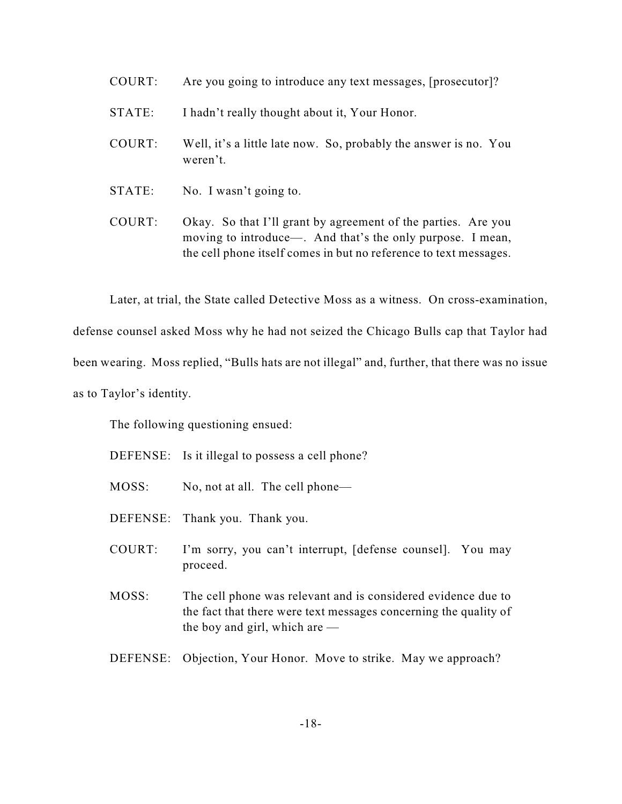- COURT: Are you going to introduce any text messages, [prosecutor]?
- STATE: I hadn't really thought about it, Your Honor.
- COURT: Well, it's a little late now. So, probably the answer is no. You weren't.
- STATE: No. I wasn't going to.

COURT: Okay. So that I'll grant by agreement of the parties. Are you moving to introduce—. And that's the only purpose. I mean, the cell phone itself comes in but no reference to text messages.

Later, at trial, the State called Detective Moss as a witness. On cross-examination,

defense counsel asked Moss why he had not seized the Chicago Bulls cap that Taylor had

been wearing. Moss replied, "Bulls hats are not illegal" and, further, that there was no issue

as to Taylor's identity.

The following questioning ensued:

DEFENSE: Is it illegal to possess a cell phone?

- MOSS: No, not at all. The cell phone—
- DEFENSE: Thank you. Thank you.
- COURT: I'm sorry, you can't interrupt, [defense counsel]. You may proceed.
- MOSS: The cell phone was relevant and is considered evidence due to the fact that there were text messages concerning the quality of the boy and girl, which are —
- DEFENSE: Objection, Your Honor. Move to strike. May we approach?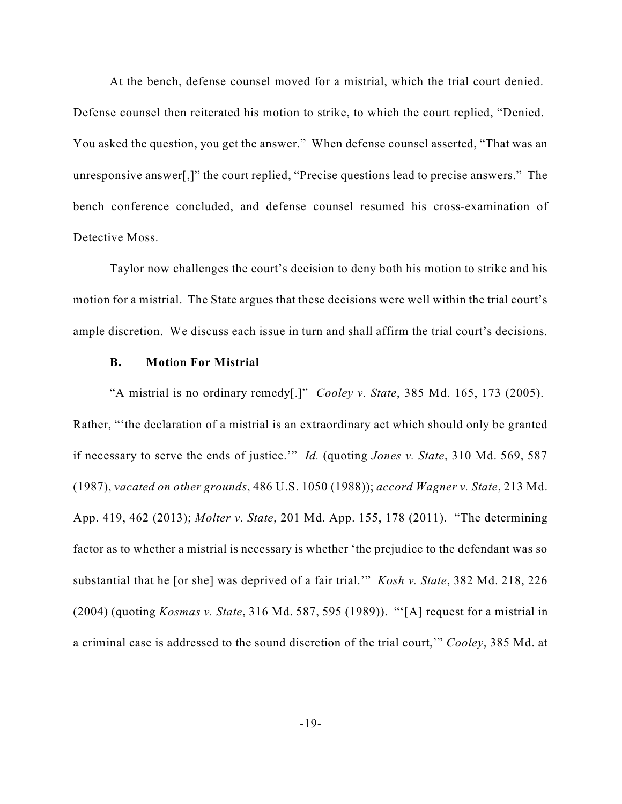At the bench, defense counsel moved for a mistrial, which the trial court denied. Defense counsel then reiterated his motion to strike, to which the court replied, "Denied. You asked the question, you get the answer." When defense counsel asserted, "That was an unresponsive answer[,]" the court replied, "Precise questions lead to precise answers." The bench conference concluded, and defense counsel resumed his cross-examination of Detective Moss.

Taylor now challenges the court's decision to deny both his motion to strike and his motion for a mistrial. The State argues that these decisions were well within the trial court's ample discretion. We discuss each issue in turn and shall affirm the trial court's decisions.

#### **B. Motion For Mistrial**

"A mistrial is no ordinary remedy[.]" *Cooley v. State*, 385 Md. 165, 173 (2005). Rather, "'the declaration of a mistrial is an extraordinary act which should only be granted if necessary to serve the ends of justice.'" *Id.* (quoting *Jones v. State*, 310 Md. 569, 587 (1987), *vacated on other grounds*, 486 U.S. 1050 (1988)); *accord Wagner v. State*, 213 Md. App. 419, 462 (2013); *Molter v. State*, 201 Md. App. 155, 178 (2011). "The determining factor as to whether a mistrial is necessary is whether 'the prejudice to the defendant was so substantial that he [or she] was deprived of a fair trial.'" *Kosh v. State*, 382 Md. 218, 226 (2004) (quoting *Kosmas v. State*, 316 Md. 587, 595 (1989)). "'[A] request for a mistrial in a criminal case is addressed to the sound discretion of the trial court,'" *Cooley*, 385 Md. at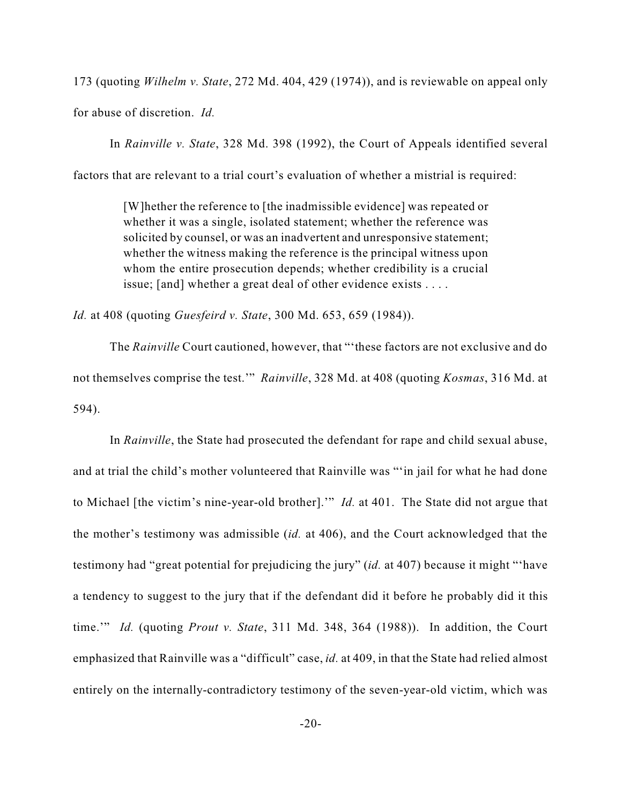173 (quoting *Wilhelm v. State*, 272 Md. 404, 429 (1974)), and is reviewable on appeal only for abuse of discretion. *Id.*

In *Rainville v. State*, 328 Md. 398 (1992), the Court of Appeals identified several factors that are relevant to a trial court's evaluation of whether a mistrial is required:

> [W]hether the reference to [the inadmissible evidence] was repeated or whether it was a single, isolated statement; whether the reference was solicited by counsel, or was an inadvertent and unresponsive statement; whether the witness making the reference is the principal witness upon whom the entire prosecution depends; whether credibility is a crucial issue; [and] whether a great deal of other evidence exists . . . .

*Id.* at 408 (quoting *Guesfeird v. State*, 300 Md. 653, 659 (1984)).

The *Rainville* Court cautioned, however, that "'these factors are not exclusive and do not themselves comprise the test.'" *Rainville*, 328 Md. at 408 (quoting *Kosmas*, 316 Md. at 594).

In *Rainville*, the State had prosecuted the defendant for rape and child sexual abuse, and at trial the child's mother volunteered that Rainville was "'in jail for what he had done to Michael [the victim's nine-year-old brother].'" *Id.* at 401. The State did not argue that the mother's testimony was admissible (*id.* at 406), and the Court acknowledged that the testimony had "great potential for prejudicing the jury" (*id.* at 407) because it might "'have a tendency to suggest to the jury that if the defendant did it before he probably did it this time.'" *Id.* (quoting *Prout v. State*, 311 Md. 348, 364 (1988)). In addition, the Court emphasized that Rainville was a "difficult" case, *id.* at 409, in that the State had relied almost entirely on the internally-contradictory testimony of the seven-year-old victim, which was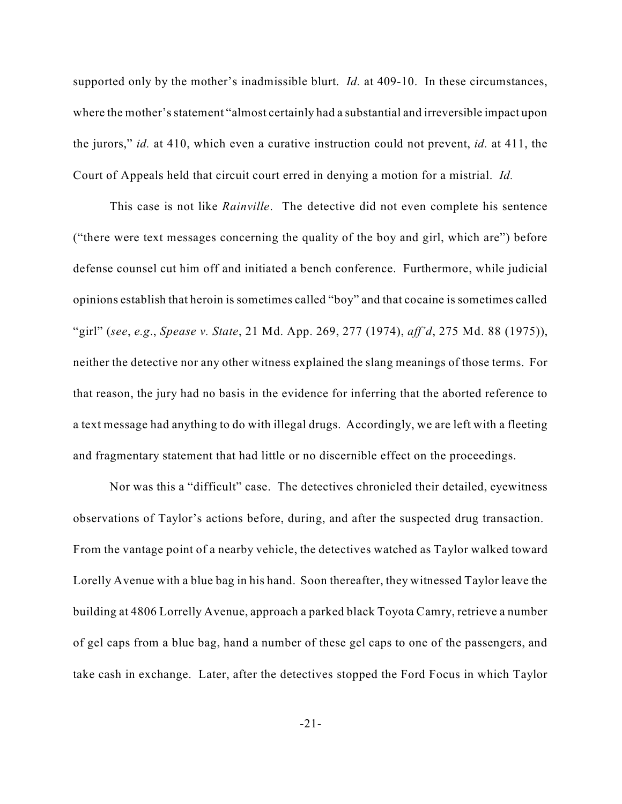supported only by the mother's inadmissible blurt. *Id.* at 409-10. In these circumstances, where the mother'sstatement "almost certainly had a substantial and irreversible impact upon the jurors," *id.* at 410, which even a curative instruction could not prevent, *id.* at 411, the Court of Appeals held that circuit court erred in denying a motion for a mistrial. *Id.*

This case is not like *Rainville*. The detective did not even complete his sentence ("there were text messages concerning the quality of the boy and girl, which are") before defense counsel cut him off and initiated a bench conference. Furthermore, while judicial opinions establish that heroin is sometimes called "boy" and that cocaine is sometimes called "girl" (*see*, *e.g*., *Spease v. State*, 21 Md. App. 269, 277 (1974), *aff'd*, 275 Md. 88 (1975)), neither the detective nor any other witness explained the slang meanings of those terms. For that reason, the jury had no basis in the evidence for inferring that the aborted reference to a text message had anything to do with illegal drugs. Accordingly, we are left with a fleeting and fragmentary statement that had little or no discernible effect on the proceedings.

Nor was this a "difficult" case. The detectives chronicled their detailed, eyewitness observations of Taylor's actions before, during, and after the suspected drug transaction. From the vantage point of a nearby vehicle, the detectives watched as Taylor walked toward Lorelly Avenue with a blue bag in his hand. Soon thereafter, they witnessed Taylor leave the building at 4806 Lorrelly Avenue, approach a parked black Toyota Camry, retrieve a number of gel caps from a blue bag, hand a number of these gel caps to one of the passengers, and take cash in exchange. Later, after the detectives stopped the Ford Focus in which Taylor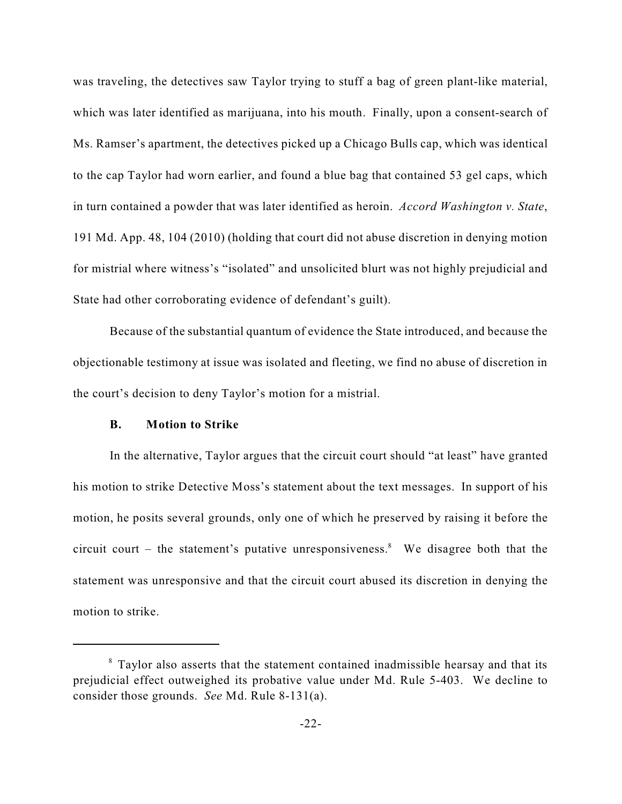was traveling, the detectives saw Taylor trying to stuff a bag of green plant-like material, which was later identified as marijuana, into his mouth. Finally, upon a consent-search of Ms. Ramser's apartment, the detectives picked up a Chicago Bulls cap, which was identical to the cap Taylor had worn earlier, and found a blue bag that contained 53 gel caps, which in turn contained a powder that was later identified as heroin. *Accord Washington v. State*, 191 Md. App. 48, 104 (2010) (holding that court did not abuse discretion in denying motion for mistrial where witness's "isolated" and unsolicited blurt was not highly prejudicial and State had other corroborating evidence of defendant's guilt).

Because of the substantial quantum of evidence the State introduced, and because the objectionable testimony at issue was isolated and fleeting, we find no abuse of discretion in the court's decision to deny Taylor's motion for a mistrial.

#### **B. Motion to Strike**

In the alternative, Taylor argues that the circuit court should "at least" have granted his motion to strike Detective Moss's statement about the text messages. In support of his motion, he posits several grounds, only one of which he preserved by raising it before the circuit court  $-$  the statement's putative unresponsiveness.<sup>8</sup> We disagree both that the statement was unresponsive and that the circuit court abused its discretion in denying the motion to strike.

 $8$  Taylor also asserts that the statement contained inadmissible hearsay and that its prejudicial effect outweighed its probative value under Md. Rule 5-403. We decline to consider those grounds. *See* Md. Rule 8-131(a).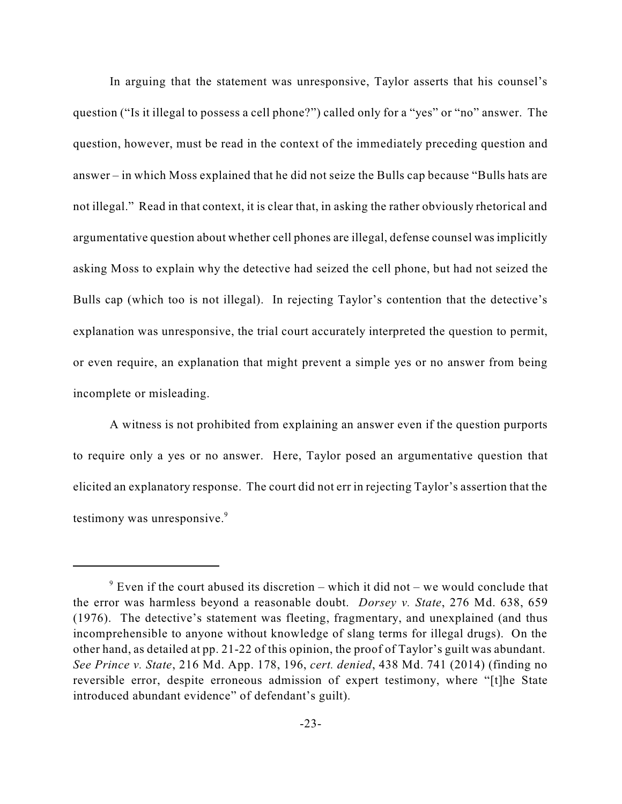In arguing that the statement was unresponsive, Taylor asserts that his counsel's question ("Is it illegal to possess a cell phone?") called only for a "yes" or "no" answer. The question, however, must be read in the context of the immediately preceding question and answer – in which Moss explained that he did not seize the Bulls cap because "Bulls hats are not illegal." Read in that context, it is clear that, in asking the rather obviously rhetorical and argumentative question about whether cell phones are illegal, defense counsel was implicitly asking Moss to explain why the detective had seized the cell phone, but had not seized the Bulls cap (which too is not illegal). In rejecting Taylor's contention that the detective's explanation was unresponsive, the trial court accurately interpreted the question to permit, or even require, an explanation that might prevent a simple yes or no answer from being incomplete or misleading.

A witness is not prohibited from explaining an answer even if the question purports to require only a yes or no answer. Here, Taylor posed an argumentative question that elicited an explanatory response. The court did not err in rejecting Taylor's assertion that the testimony was unresponsive. 9

 $\degree$  Even if the court abused its discretion – which it did not – we would conclude that the error was harmless beyond a reasonable doubt. *Dorsey v. State*, 276 Md. 638, 659 (1976). The detective's statement was fleeting, fragmentary, and unexplained (and thus incomprehensible to anyone without knowledge of slang terms for illegal drugs). On the other hand, as detailed at pp. 21-22 of this opinion, the proof of Taylor's guilt was abundant. *See Prince v. State*, 216 Md. App. 178, 196, *cert. denied*, 438 Md. 741 (2014) (finding no reversible error, despite erroneous admission of expert testimony, where "[t]he State introduced abundant evidence" of defendant's guilt).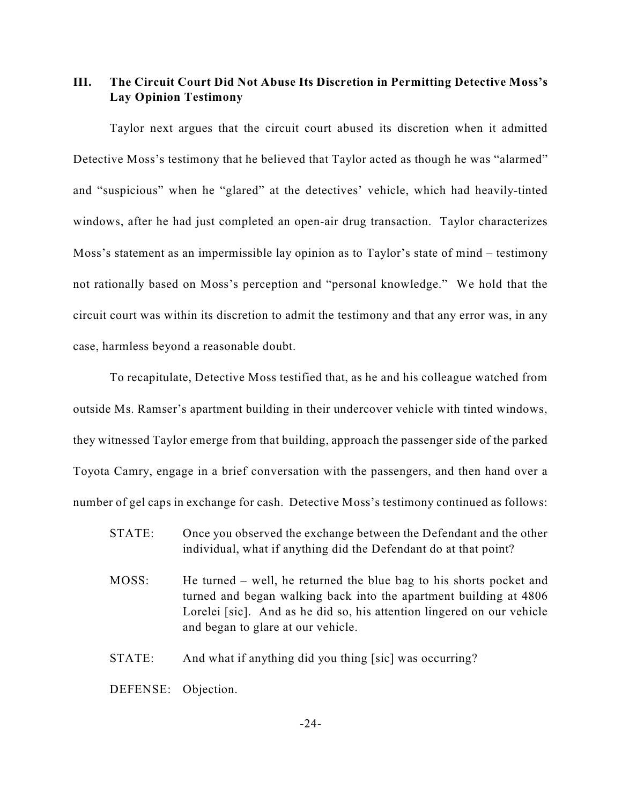## **III. The Circuit Court Did Not Abuse Its Discretion in Permitting Detective Moss's Lay Opinion Testimony**

Taylor next argues that the circuit court abused its discretion when it admitted Detective Moss's testimony that he believed that Taylor acted as though he was "alarmed" and "suspicious" when he "glared" at the detectives' vehicle, which had heavily-tinted windows, after he had just completed an open-air drug transaction. Taylor characterizes Moss's statement as an impermissible lay opinion as to Taylor's state of mind – testimony not rationally based on Moss's perception and "personal knowledge." We hold that the circuit court was within its discretion to admit the testimony and that any error was, in any case, harmless beyond a reasonable doubt.

To recapitulate, Detective Moss testified that, as he and his colleague watched from outside Ms. Ramser's apartment building in their undercover vehicle with tinted windows, they witnessed Taylor emerge from that building, approach the passenger side of the parked Toyota Camry, engage in a brief conversation with the passengers, and then hand over a number of gel caps in exchange for cash. Detective Moss's testimony continued as follows:

- STATE: Once you observed the exchange between the Defendant and the other individual, what if anything did the Defendant do at that point?
- MOSS: He turned well, he returned the blue bag to his shorts pocket and turned and began walking back into the apartment building at 4806 Lorelei [sic]. And as he did so, his attention lingered on our vehicle and began to glare at our vehicle.
- STATE: And what if anything did you thing [sic] was occurring?

DEFENSE: Objection.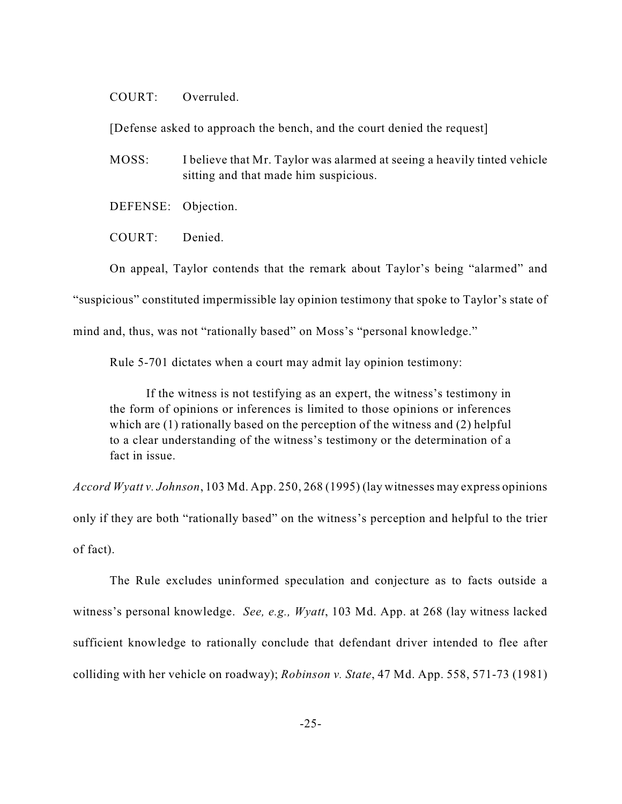#### COURT: Overruled.

[Defense asked to approach the bench, and the court denied the request]

- MOSS: I believe that Mr. Taylor was alarmed at seeing a heavily tinted vehicle sitting and that made him suspicious.
- DEFENSE: Objection.
- COURT: Denied.

On appeal, Taylor contends that the remark about Taylor's being "alarmed" and "suspicious" constituted impermissible lay opinion testimony that spoke to Taylor's state of mind and, thus, was not "rationally based" on Moss's "personal knowledge."

Rule 5-701 dictates when a court may admit lay opinion testimony:

If the witness is not testifying as an expert, the witness's testimony in the form of opinions or inferences is limited to those opinions or inferences which are (1) rationally based on the perception of the witness and (2) helpful to a clear understanding of the witness's testimony or the determination of a fact in issue.

*Accord Wyatt v. Johnson*, 103 Md. App. 250, 268 (1995) (lay witnesses may express opinions

only if they are both "rationally based" on the witness's perception and helpful to the trier of fact).

The Rule excludes uninformed speculation and conjecture as to facts outside a witness's personal knowledge. *See, e.g., Wyatt*, 103 Md. App. at 268 (lay witness lacked sufficient knowledge to rationally conclude that defendant driver intended to flee after colliding with her vehicle on roadway); *Robinson v. State*, 47 Md. App. 558, 571-73 (1981)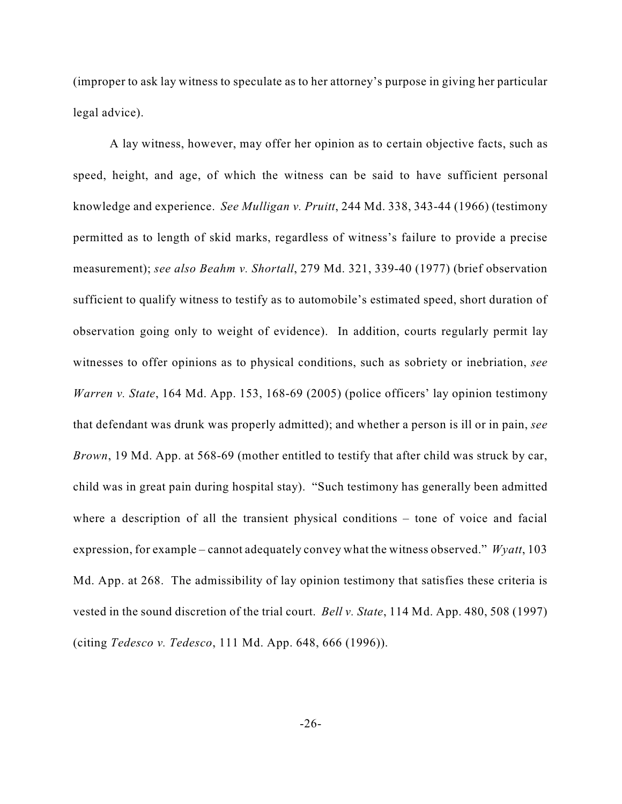(improper to ask lay witness to speculate as to her attorney's purpose in giving her particular legal advice).

A lay witness, however, may offer her opinion as to certain objective facts, such as speed, height, and age, of which the witness can be said to have sufficient personal knowledge and experience. *See Mulligan v. Pruitt*, 244 Md. 338, 343-44 (1966) (testimony permitted as to length of skid marks, regardless of witness's failure to provide a precise measurement); *see also Beahm v. Shortall*, 279 Md. 321, 339-40 (1977) (brief observation sufficient to qualify witness to testify as to automobile's estimated speed, short duration of observation going only to weight of evidence). In addition, courts regularly permit lay witnesses to offer opinions as to physical conditions, such as sobriety or inebriation, *see Warren v. State*, 164 Md. App. 153, 168-69 (2005) (police officers' lay opinion testimony that defendant was drunk was properly admitted); and whether a person is ill or in pain, *see Brown*, 19 Md. App. at 568-69 (mother entitled to testify that after child was struck by car, child was in great pain during hospital stay). "Such testimony has generally been admitted where a description of all the transient physical conditions – tone of voice and facial expression, for example – cannot adequately convey what the witness observed." *Wyatt*, 103 Md. App. at 268. The admissibility of lay opinion testimony that satisfies these criteria is vested in the sound discretion of the trial court. *Bell v. State*, 114 Md. App. 480, 508 (1997) (citing *Tedesco v. Tedesco*, 111 Md. App. 648, 666 (1996)).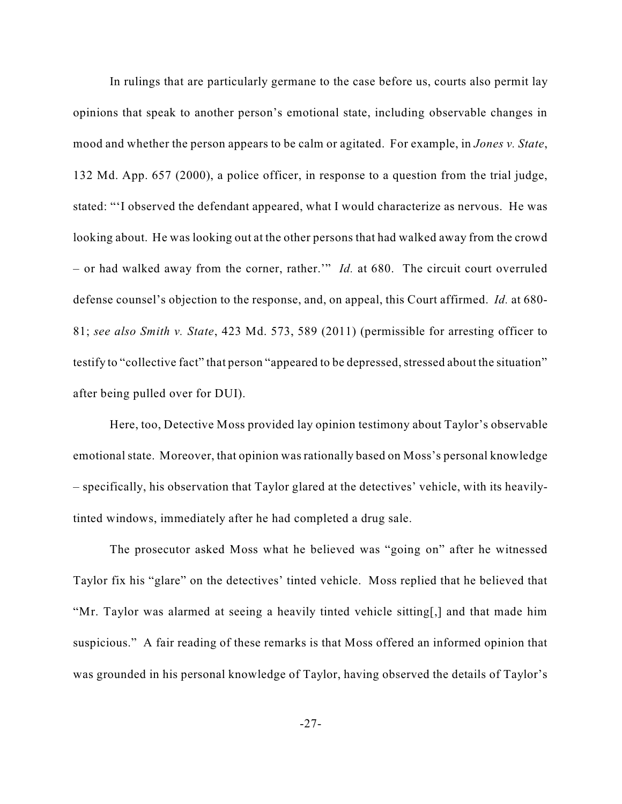In rulings that are particularly germane to the case before us, courts also permit lay opinions that speak to another person's emotional state, including observable changes in mood and whether the person appears to be calm or agitated. For example, in *Jones v. State*, 132 Md. App. 657 (2000), a police officer, in response to a question from the trial judge, stated: "'I observed the defendant appeared, what I would characterize as nervous. He was looking about. He was looking out at the other persons that had walked away from the crowd – or had walked away from the corner, rather.'" *Id.* at 680. The circuit court overruled defense counsel's objection to the response, and, on appeal, this Court affirmed. *Id.* at 680- 81; *see also Smith v. State*, 423 Md. 573, 589 (2011) (permissible for arresting officer to testify to "collective fact" that person "appeared to be depressed, stressed about the situation" after being pulled over for DUI).

Here, too, Detective Moss provided lay opinion testimony about Taylor's observable emotional state. Moreover, that opinion was rationally based on Moss's personal knowledge – specifically, his observation that Taylor glared at the detectives' vehicle, with its heavilytinted windows, immediately after he had completed a drug sale.

The prosecutor asked Moss what he believed was "going on" after he witnessed Taylor fix his "glare" on the detectives' tinted vehicle. Moss replied that he believed that "Mr. Taylor was alarmed at seeing a heavily tinted vehicle sitting[,] and that made him suspicious." A fair reading of these remarks is that Moss offered an informed opinion that was grounded in his personal knowledge of Taylor, having observed the details of Taylor's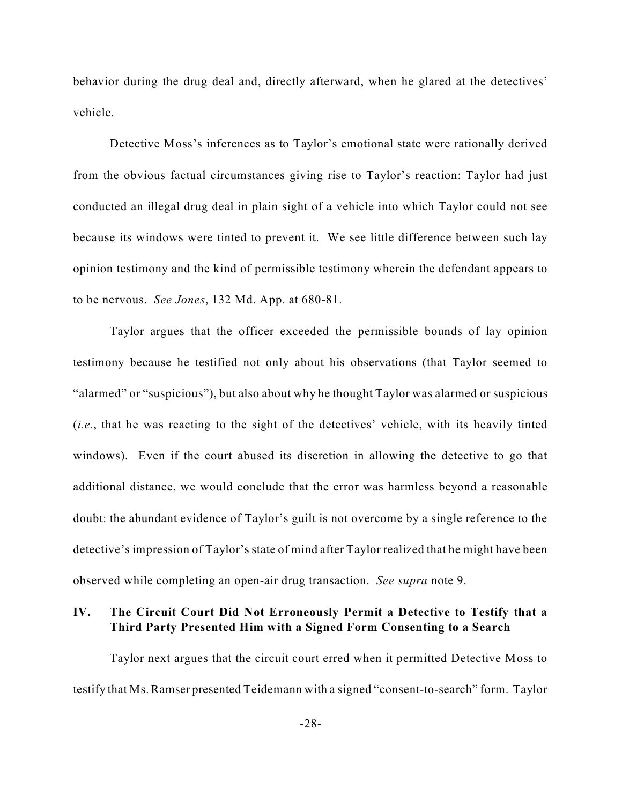behavior during the drug deal and, directly afterward, when he glared at the detectives' vehicle.

Detective Moss's inferences as to Taylor's emotional state were rationally derived from the obvious factual circumstances giving rise to Taylor's reaction: Taylor had just conducted an illegal drug deal in plain sight of a vehicle into which Taylor could not see because its windows were tinted to prevent it. We see little difference between such lay opinion testimony and the kind of permissible testimony wherein the defendant appears to to be nervous. *See Jones*, 132 Md. App. at 680-81.

Taylor argues that the officer exceeded the permissible bounds of lay opinion testimony because he testified not only about his observations (that Taylor seemed to "alarmed" or "suspicious"), but also about why he thought Taylor was alarmed or suspicious (*i.e.*, that he was reacting to the sight of the detectives' vehicle, with its heavily tinted windows). Even if the court abused its discretion in allowing the detective to go that additional distance, we would conclude that the error was harmless beyond a reasonable doubt: the abundant evidence of Taylor's guilt is not overcome by a single reference to the detective's impression of Taylor's state of mind after Taylor realized that he might have been observed while completing an open-air drug transaction. *See supra* note 9.

### **IV. The Circuit Court Did Not Erroneously Permit a Detective to Testify that a Third Party Presented Him with a Signed Form Consenting to a Search**

Taylor next argues that the circuit court erred when it permitted Detective Moss to testify that Ms. Ramser presented Teidemann with a signed "consent-to-search" form. Taylor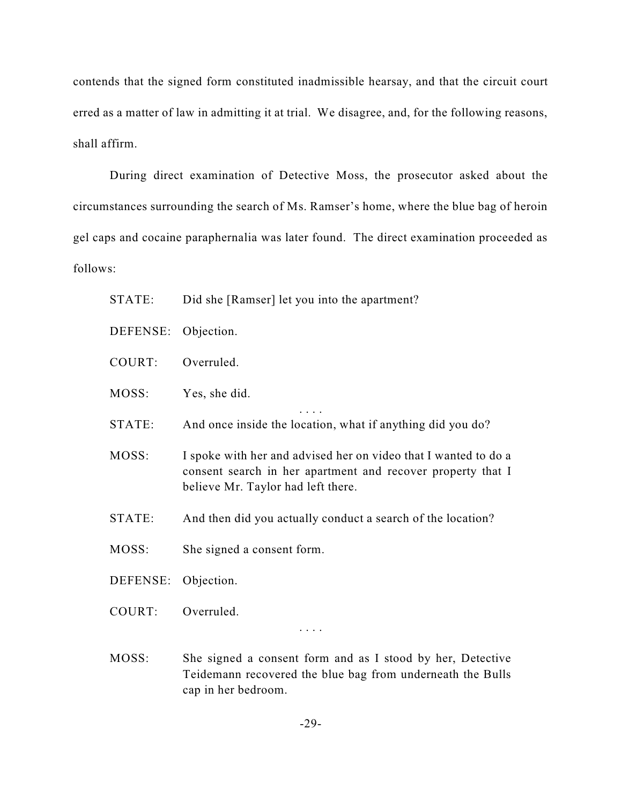contends that the signed form constituted inadmissible hearsay, and that the circuit court erred as a matter of law in admitting it at trial. We disagree, and, for the following reasons, shall affirm.

During direct examination of Detective Moss, the prosecutor asked about the circumstances surrounding the search of Ms. Ramser's home, where the blue bag of heroin gel caps and cocaine paraphernalia was later found. The direct examination proceeded as follows:

- STATE: Did she [Ramser] let you into the apartment?
- DEFENSE: Objection.
- COURT: Overruled.
- MOSS: Yes, she did.
- STATE: And once inside the location, what if anything did you do?

. . . .

- MOSS: I spoke with her and advised her on video that I wanted to do a consent search in her apartment and recover property that I believe Mr. Taylor had left there.
- STATE: And then did you actually conduct a search of the location?
- MOSS: She signed a consent form.
- DEFENSE: Objection.
- COURT: Overruled.

. . . .

MOSS: She signed a consent form and as I stood by her, Detective Teidemann recovered the blue bag from underneath the Bulls cap in her bedroom.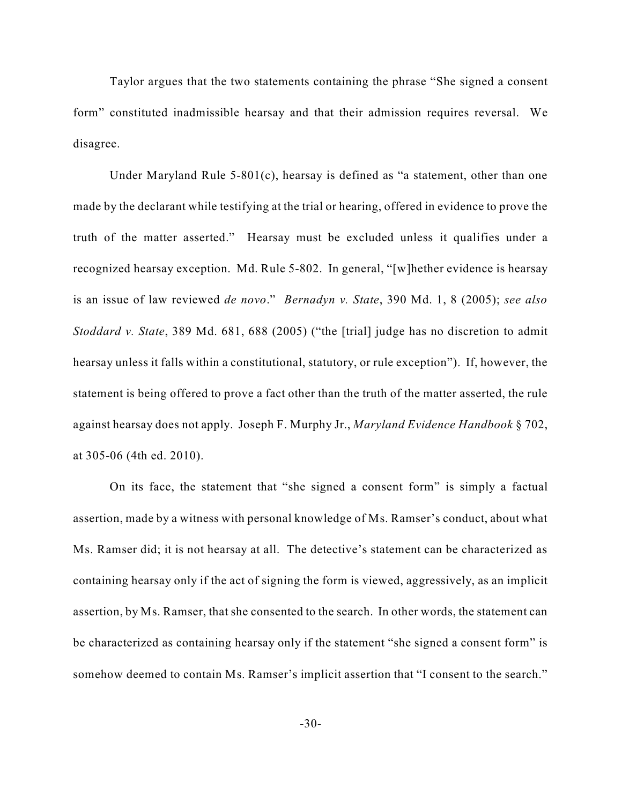Taylor argues that the two statements containing the phrase "She signed a consent form" constituted inadmissible hearsay and that their admission requires reversal. We disagree.

Under Maryland Rule 5-801(c), hearsay is defined as "a statement, other than one made by the declarant while testifying at the trial or hearing, offered in evidence to prove the truth of the matter asserted." Hearsay must be excluded unless it qualifies under a recognized hearsay exception. Md. Rule 5-802. In general, "[w]hether evidence is hearsay is an issue of law reviewed *de novo*." *Bernadyn v. State*, 390 Md. 1, 8 (2005); *see also Stoddard v. State*, 389 Md. 681, 688 (2005) ("the [trial] judge has no discretion to admit hearsay unless it falls within a constitutional, statutory, or rule exception"). If, however, the statement is being offered to prove a fact other than the truth of the matter asserted, the rule against hearsay does not apply. Joseph F. Murphy Jr., *Maryland Evidence Handbook* § 702, at 305-06 (4th ed. 2010).

On its face, the statement that "she signed a consent form" is simply a factual assertion, made by a witness with personal knowledge of Ms. Ramser's conduct, about what Ms. Ramser did; it is not hearsay at all. The detective's statement can be characterized as containing hearsay only if the act of signing the form is viewed, aggressively, as an implicit assertion, by Ms. Ramser, that she consented to the search. In other words, the statement can be characterized as containing hearsay only if the statement "she signed a consent form" is somehow deemed to contain Ms. Ramser's implicit assertion that "I consent to the search."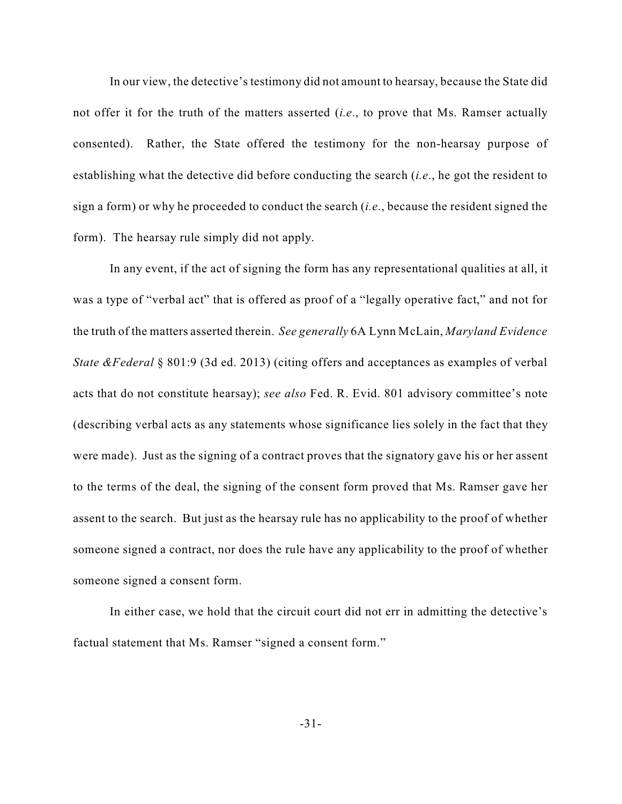In our view, the detective's testimony did not amount to hearsay, because the State did not offer it for the truth of the matters asserted (*i.e*., to prove that Ms. Ramser actually consented). Rather, the State offered the testimony for the non-hearsay purpose of establishing what the detective did before conducting the search (*i.e*., he got the resident to sign a form) or why he proceeded to conduct the search (*i.e*., because the resident signed the form). The hearsay rule simply did not apply.

In any event, if the act of signing the form has any representational qualities at all, it was a type of "verbal act" that is offered as proof of a "legally operative fact," and not for the truth of the matters asserted therein. *See generally* 6A Lynn McLain, *Maryland Evidence State &Federal* § 801:9 (3d ed. 2013) (citing offers and acceptances as examples of verbal acts that do not constitute hearsay); *see also* Fed. R. Evid. 801 advisory committee's note (describing verbal acts as any statements whose significance lies solely in the fact that they were made). Just as the signing of a contract proves that the signatory gave his or her assent to the terms of the deal, the signing of the consent form proved that Ms. Ramser gave her assent to the search. But just as the hearsay rule has no applicability to the proof of whether someone signed a contract, nor does the rule have any applicability to the proof of whether someone signed a consent form.

In either case, we hold that the circuit court did not err in admitting the detective's factual statement that Ms. Ramser "signed a consent form."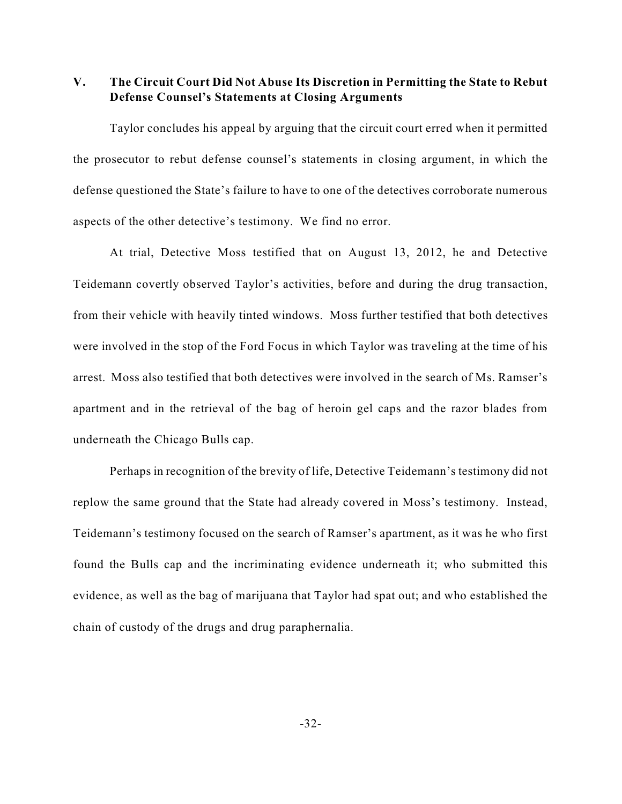**V. The Circuit Court Did Not Abuse Its Discretion in Permitting the State to Rebut Defense Counsel's Statements at Closing Arguments**

Taylor concludes his appeal by arguing that the circuit court erred when it permitted the prosecutor to rebut defense counsel's statements in closing argument, in which the defense questioned the State's failure to have to one of the detectives corroborate numerous aspects of the other detective's testimony. We find no error.

At trial, Detective Moss testified that on August 13, 2012, he and Detective Teidemann covertly observed Taylor's activities, before and during the drug transaction, from their vehicle with heavily tinted windows. Moss further testified that both detectives were involved in the stop of the Ford Focus in which Taylor was traveling at the time of his arrest. Moss also testified that both detectives were involved in the search of Ms. Ramser's apartment and in the retrieval of the bag of heroin gel caps and the razor blades from underneath the Chicago Bulls cap.

Perhaps in recognition of the brevity of life, Detective Teidemann's testimony did not replow the same ground that the State had already covered in Moss's testimony. Instead, Teidemann's testimony focused on the search of Ramser's apartment, as it was he who first found the Bulls cap and the incriminating evidence underneath it; who submitted this evidence, as well as the bag of marijuana that Taylor had spat out; and who established the chain of custody of the drugs and drug paraphernalia.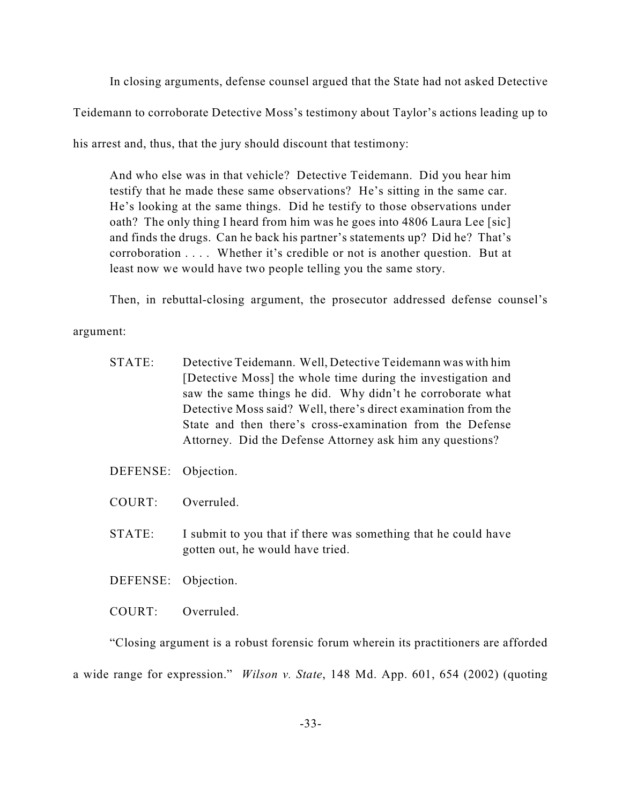In closing arguments, defense counsel argued that the State had not asked Detective Teidemann to corroborate Detective Moss's testimony about Taylor's actions leading up to his arrest and, thus, that the jury should discount that testimony:

And who else was in that vehicle? Detective Teidemann. Did you hear him testify that he made these same observations? He's sitting in the same car. He's looking at the same things. Did he testify to those observations under oath? The only thing I heard from him was he goes into 4806 Laura Lee [sic] and finds the drugs. Can he back his partner's statements up? Did he? That's corroboration . . . . Whether it's credible or not is another question. But at least now we would have two people telling you the same story.

Then, in rebuttal-closing argument, the prosecutor addressed defense counsel's

argument:

- STATE: Detective Teidemann. Well, Detective Teidemann was with him [Detective Moss] the whole time during the investigation and saw the same things he did. Why didn't he corroborate what Detective Moss said? Well, there's direct examination from the State and then there's cross-examination from the Defense Attorney. Did the Defense Attorney ask him any questions?
- DEFENSE: Objection.
- COURT: Overruled.
- STATE: I submit to you that if there was something that he could have gotten out, he would have tried.
- DEFENSE: Objection.
- COURT: Overruled.

"Closing argument is a robust forensic forum wherein its practitioners are afforded a wide range for expression." *Wilson v. State*, 148 Md. App. 601, 654 (2002) (quoting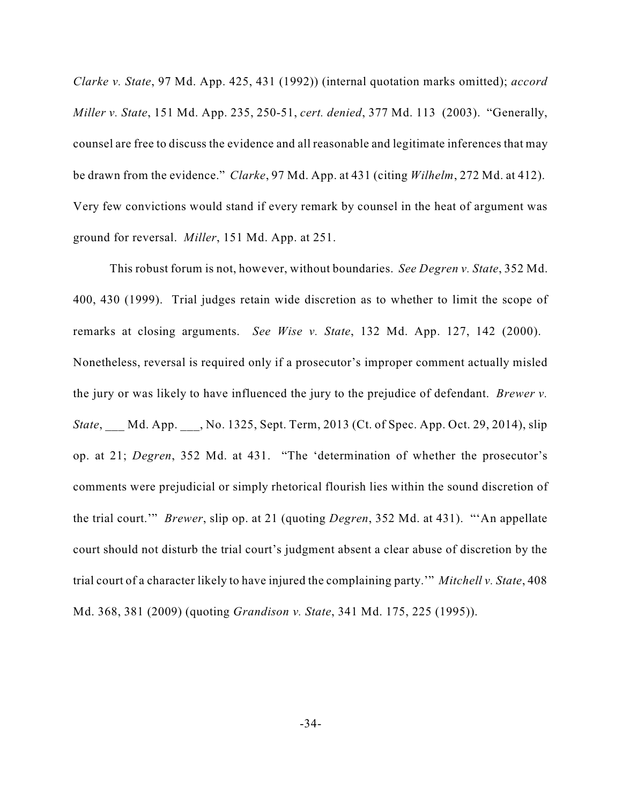*Clarke v. State*, 97 Md. App. 425, 431 (1992)) (internal quotation marks omitted); *accord Miller v. State*, 151 Md. App. 235, 250-51, *cert. denied*, 377 Md. 113 (2003). "Generally, counsel are free to discuss the evidence and all reasonable and legitimate inferences that may be drawn from the evidence." *Clarke*, 97 Md. App. at 431 (citing *Wilhelm*, 272 Md. at 412). Very few convictions would stand if every remark by counsel in the heat of argument was ground for reversal. *Miller*, 151 Md. App. at 251.

This robust forum is not, however, without boundaries. *See Degren v. State*, 352 Md. 400, 430 (1999). Trial judges retain wide discretion as to whether to limit the scope of remarks at closing arguments. *See Wise v. State*, 132 Md. App. 127, 142 (2000). Nonetheless, reversal is required only if a prosecutor's improper comment actually misled the jury or was likely to have influenced the jury to the prejudice of defendant. *Brewer v. State*, Md. App. \_\_, No. 1325, Sept. Term, 2013 (Ct. of Spec. App. Oct. 29, 2014), slip op. at 21; *Degren*, 352 Md. at 431. "The 'determination of whether the prosecutor's comments were prejudicial or simply rhetorical flourish lies within the sound discretion of the trial court.'" *Brewer*, slip op. at 21 (quoting *Degren*, 352 Md. at 431). "'An appellate court should not disturb the trial court's judgment absent a clear abuse of discretion by the trial court of a character likely to have injured the complaining party.'" *Mitchell v. State*, 408 Md. 368, 381 (2009) (quoting *Grandison v. State*, 341 Md. 175, 225 (1995)).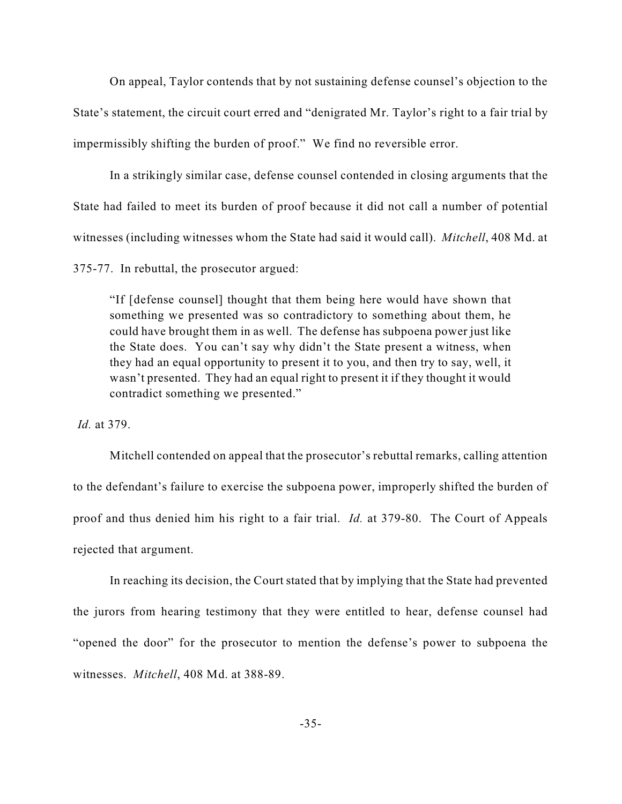On appeal, Taylor contends that by not sustaining defense counsel's objection to the State's statement, the circuit court erred and "denigrated Mr. Taylor's right to a fair trial by impermissibly shifting the burden of proof." We find no reversible error.

In a strikingly similar case, defense counsel contended in closing arguments that the State had failed to meet its burden of proof because it did not call a number of potential witnesses (including witnesses whom the State had said it would call). *Mitchell*, 408 Md. at

375-77. In rebuttal, the prosecutor argued:

"If [defense counsel] thought that them being here would have shown that something we presented was so contradictory to something about them, he could have brought them in as well. The defense has subpoena power just like the State does. You can't say why didn't the State present a witness, when they had an equal opportunity to present it to you, and then try to say, well, it wasn't presented. They had an equal right to present it if they thought it would contradict something we presented."

*Id.* at 379.

Mitchell contended on appeal that the prosecutor's rebuttal remarks, calling attention to the defendant's failure to exercise the subpoena power, improperly shifted the burden of proof and thus denied him his right to a fair trial. *Id.* at 379-80. The Court of Appeals rejected that argument.

In reaching its decision, the Court stated that by implying that the State had prevented the jurors from hearing testimony that they were entitled to hear, defense counsel had "opened the door" for the prosecutor to mention the defense's power to subpoena the witnesses. *Mitchell*, 408 Md. at 388-89.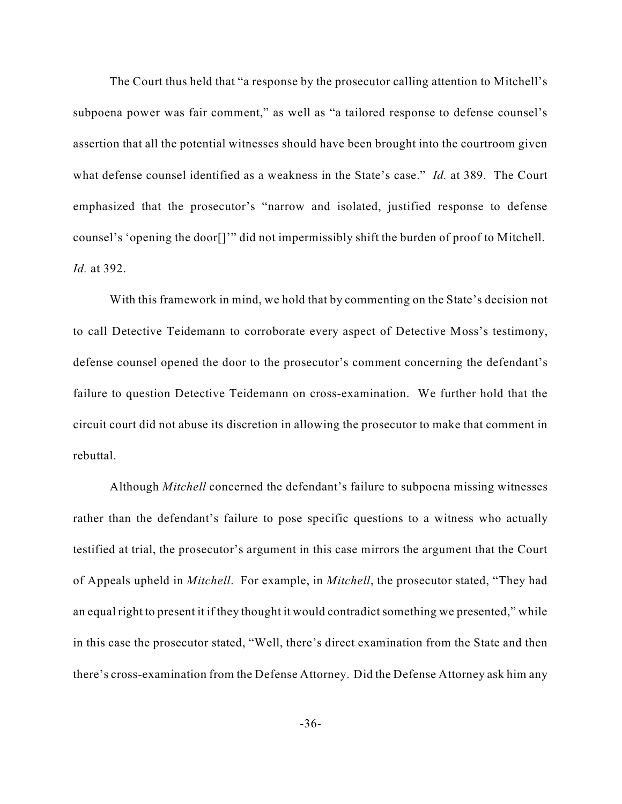The Court thus held that "a response by the prosecutor calling attention to Mitchell's subpoena power was fair comment," as well as "a tailored response to defense counsel's assertion that all the potential witnesses should have been brought into the courtroom given what defense counsel identified as a weakness in the State's case." *Id.* at 389. The Court emphasized that the prosecutor's "narrow and isolated, justified response to defense counsel's 'opening the door[]'" did not impermissibly shift the burden of proof to Mitchell. *Id.* at 392.

With this framework in mind, we hold that by commenting on the State's decision not to call Detective Teidemann to corroborate every aspect of Detective Moss's testimony, defense counsel opened the door to the prosecutor's comment concerning the defendant's failure to question Detective Teidemann on cross-examination. We further hold that the circuit court did not abuse its discretion in allowing the prosecutor to make that comment in rebuttal.

Although *Mitchell* concerned the defendant's failure to subpoena missing witnesses rather than the defendant's failure to pose specific questions to a witness who actually testified at trial, the prosecutor's argument in this case mirrors the argument that the Court of Appeals upheld in *Mitchell*. For example, in *Mitchell*, the prosecutor stated, "They had an equal right to present it if they thought it would contradict something we presented," while in this case the prosecutor stated, "Well, there's direct examination from the State and then there's cross-examination from the Defense Attorney. Did the Defense Attorney ask him any